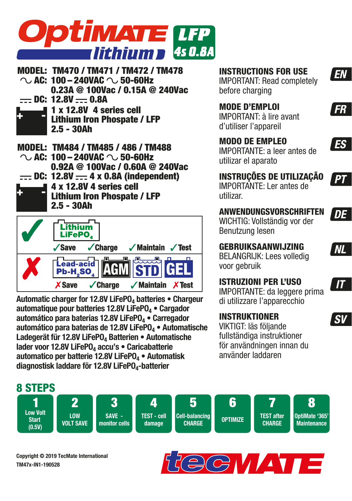

 $\blacksquare$  1 x 12.8V 4 series cell Lithium Iron Phospate / LFP 2.5 - 30Ah **+ -** MODEL: TM470 / TM471 / TM472 / TM478  $\sim$  AC: 100 – 240VAC  $\sim$  50-60Hz 0.23A @ 100Vac / 0.15A @ 240Vac  $=$  DC: 12.8V  $=$  0.8A 4 x 12.8V 4 series cell Lithium Iron Phospate / LFP 2.5 - 30Ah **+ -** MODEL: TM484 / TM485 / 486 / TM488  $\sim$  AC: 100 – 240VAC  $\sim$  50-60Hz 0.92A @ 100Vac / 0.60A @ 240Vac  $\frac{1}{2}$  DC: 12.8V  $\frac{1}{2}$  4 x 0.8A (independent)



Automatic charger for 12.8V LiFePO<sub>4</sub> batteries • Chargeur automatique pour batteries 12.8V LiFePO<sub>4</sub> · Cargador automático para baterías 12.8V LiFePO<sub>4</sub> · Carregador automático para baterias de 12.8V LiFePO<sub>4</sub> · Automatische Ladegerät für 12.8V LiFePO<sub>4</sub> Batterien • Automatische lader voor 12.8V LiFePO<sub>4</sub> accu's • Caricabatterie automatico per batterie 12.8V LiFePO<sub>4</sub> · Automatisk diagnostisk laddare för 12.8V LiFePO<sub>4</sub>-batterier

**INSTRUCTIONS FOR USE**

IMPORTANT: Read completely before charging

**EN** 

**FR** 

ES<sup>-</sup>

PT

**DE** 

NІ

 $\overline{I}$ 

**SV** 

**MODE D'EMPLOI** IMPORTANT: à lire avant d'utiliser l'appareil

**MODO DE EMPLEO** IMPORTANTE: a leer antes de utilizar el aparato

**INSTRUÇÕES DE UTILIZAÇÃO** IMPORTANTE: Ler antes de

utilizar.

**ANWENDUNGSVORSCHRIFTEN** WICHTIG: Vollständig vor der

Benutzung lesen

**GEBRUIKSAANWIJZING**

BELANGRIJK: Lees volledig voor gebruik

### **ISTRUZIONI PER L'USO**

IMPORTANTE: da leggere prima di utilizzare l'apparecchio

### **INSTRUKTIONER**

VIKTIGT: läs följande fullständiga instruktioner för användningen innan du använder laddaren

**8 STEPS**



**Copyright © 2019 TecMate International TM47x-IN1-190528**

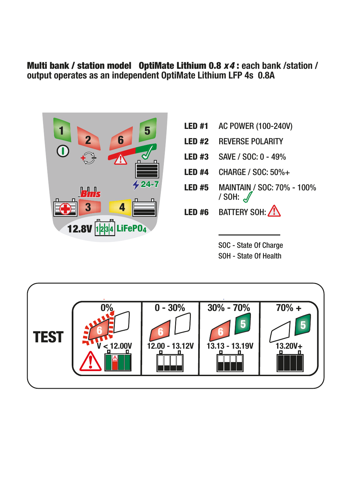### Multi bank / station model OptiMate Lithium 0.8 x4 : **each bank /station / output operates as an independent OptiMate Lithium LFP 4s 0.8A**



- **LED #1** AC POWER (100-240V)
- **LED #2** REVERSE POLARITY<br>**LED #3** SAVE / SOC: 0 49%
- **LED #3** SAVE / SOC: 0 49%
- **LED #4** CHARGE / SOC: 50%+<br>**LED #5** MAINTAIN / SOC: 70%
- **MAINTAIN / SOC: 70% 100%**<br>/ SOH: /
- **LED #6** BATTERY SOH:

SOC - State Of Charge<br>SOH - State Of Health

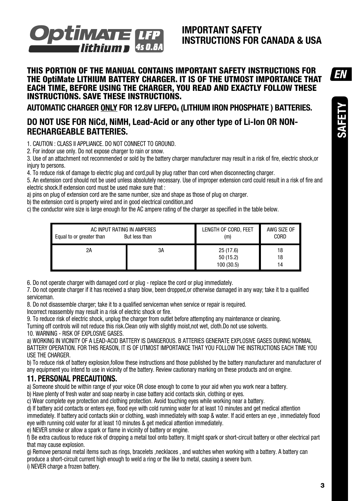

### **IMPORTANT SAFETY INSTRUCTIONS FOR CANADA & USA**

### **THIS PORTION OF THE MANUAL CONTAINS IMPORTANT SAFETY INSTRUCTIONS FOR THE OptiMate LITHIUM BATTERY CHARGER. IT IS OF THE UTMOST IMPORTANCE THAT EACH TIME, BEFORE USING THE CHARGER, YOU READ AND EXACTLY FOLLOW THESE INSTRUCTIONS. SAVE THESE INSTRUCTIONS.**

**AUTOMATIC CHARGER ONLY FOR 12.8V LIFEPO4 (LITHIUM IRON PHOSPHATE ) BATTERIES.** 

### **DO NOT USE FOR NiCd, NiMH, Lead-Acid or any other type of Li-Ion OR NON-RECHARGEABLE BATTERIES.**

1. CAUTION : CLASS II APPLIANCE. DO NOT CONNECT TO GROUND.

2. For indoor use only. Do not expose charger to rain or snow.

3. Use of an attachment not recommended or sold by the battery charger manufacturer may result in a risk of fire, electric shock,or injury to persons.

4. To reduce risk of damage to electric plug and cord,pull by plug rather than cord when disconnecting charger.

5. An extension cord should not be used unless absolutely necessary. Use of improper extension cord could result in a risk of fire and electric shock. If extension cord must be used make sure that :

a) pins on plug of extension cord are the same number, size and shape as those of plug on charger.

b) the extension cord is property wired and in good electrical condition,and

c) the conductor wire size is large enough for the AC ampere rating of the charger as specified in the table below.

| AC INPUT RATING IN AMPERES<br>But less than<br>Equal to or greater than |    | LENGTH OF CORD, FEET<br>(m)          | AWG SIZE OF<br>CORD |
|-------------------------------------------------------------------------|----|--------------------------------------|---------------------|
| 2A                                                                      | 3A | 25 (17.6)<br>50 (15.2)<br>100 (30.5) | 18<br>18<br>14      |

6. Do not operate charger with damaged cord or plug - replace the cord or plug immediately.

7. Do not operate charger if it has received a sharp blow, been dropped,or otherwise damaged in any way; take it to a qualified serviceman.

8. Do not disassemble charger; take it to a qualified serviceman when service or repair is required.

Incorrect reassembly may result in a risk of electric shock or fire.

9. To reduce risk of electric shock, unplug the charger from outlet before attempting any maintenance or cleaning.

Turning off controls will not reduce this risk.Clean only with slightly moist,not wet, cloth.Do not use solvents.

10. WARNING - RISK OF EXPLOSIVE GASES.

a) WORKING IN VICINITY OF A LEAD-ACID BATTERY IS DANGEROUS. B ATTERIES GENERATE EXPLOSIVE GASES DURING NORMAL BATTERY OPERATION. FOR THIS REASON, IT IS OF UTMOST IMPORTANCE THAT YOU FOLLOW THE INSTRUCTIONS EACH TIME YOU USE THE CHARGER.

b) To reduce risk of battery explosion, follow these instructions and those published by the battery manufacturer and manufacturer of any equipment you intend to use in vicinity of the battery. Review cautionary marking on these products and on engine.

### **11. PERSONAL PRECAUTIONS.**

a) Someone should be within range of your voice OR close enough to come to your aid when you work near a battery.

b) Have plenty of fresh water and soap nearby in case battery acid contacts skin, clothing or eyes.

c) Wear complete eye protection and clothing protection. Avoid touching eyes while working near a battery.

d) If battery acid contacts or enters eye, flood eye with cold running water for at least 10 minutes and get medical attention

immediately. If battery acid contacts skin or clothing, wash immediately with soap & water. If acid enters an eye , immediately flood eye with running cold water for at least 10 minutes & get medical attention immediately.

e) NEVER smoke or allow a spark or flame in vicinity of battery or engine.

f) Be extra cautious to reduce risk of dropping a metal tool onto battery. It might spark or short-circuit battery or other electrical part that may cause explosion.

g) Remove personal metal items such as rings, bracelets ,necklaces , and watches when working with a battery. A battery can produce a short-circuit current high enough to weld a ring or the like to metal, causing a severe burn.

i) NEVER charge a frozen battery.

**EN**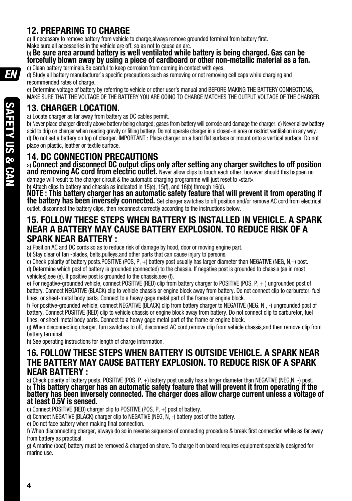### **12. PREPARING TO CHARGE**

a) If necessary to remove battery from vehicle to charge, always remove grounded terminal from battery first.

Make sure all accessories in the vehicle are off, so as not to cause an arc.

b) **Be sure area around battery is well ventilated while battery is being charged. Gas can be forcefully blown away by using a piece of cardboard or other non-metallic material as a fan.**

c) Clean battery terminals.Be careful to keep corrosion from coming in contact with eyes.

d) Study all battery manufacturer's specific precautions such as removing or not removing cell caps while charging and recommended rates of charge.

e) Determine voltage of battery by referring to vehicle or other user's manual and BEFORE MAKING THE BATTERY CONNECTIONS, MAKE SURE THAT THE VOLTAGE OF THE BATTERY YOU ARE GOING TO CHARGE MATCHES THE OUTPUT VOLTAGE OF THE CHARGER.

### **13. CHARGER LOCATION.**

a) Locate charger as far away from battery as DC cables permit.

b) Never place charger directly above batterv being charged; gases from battery will corrode and damage the charger. c) Never allow battery acid to drip on charger when reading gravity or filling battery. Do not operate charger in a closed-in area or restrict ventilation in any way. d) Do not set a battery on top of charger. IMPORTANT : Place charger on a hard flat surface or mount onto a vertical surface. Do not place on plastic, leather or textile surface.

### **14. DC CONNECTION PRECAUTIONS**

a) **Connect and disconnect DC output clips only after setting any charger switches to off position and removing AC cord from electric outlet.** Never allow clips to touch each other, however should this happen no damage will result to the charger circuit & the automatic charging programme will just reset to «start».

b) Attach clips to battery and chassis as indicated in 15(e), 15(f), and 16(b) through 16(d).

**NOTE : This battery charger has an automatic safety feature that will prevent it from operating if the battery has been inversely connected.** Set charger switches to off position and/or remove AC cord from electrical outlet, disconnect the battery clips, then reconnect correctly according to the instructions below.

### **15. FOLLOW THESE STEPS WHEN BATTERY IS INSTALLED IN VEHICLE. A SPARK NEAR A BATTERY MAY CAUSE BATTERY EXPLOSION. TO REDUCE RISK OF A SPARK NEAR BATTERY :**

a) Position AC and DC cords so as to reduce risk of damage by hood, door or moving engine part.

b) Stay clear of fan -blades, belts,pulleys, and other parts that can cause injury to persons.

c) Check polarity of battery posts.POSITIVE (POS, P, +) battery post usually has larger diameter than NEGATIVE (NEG, N,–) post.

d) Determine which post of battery is grounded (connected) to the chassis. If negative post is grounded to chassis (as in most vehicles),see (e). If positive post is grounded to the chassis,see (f).

e) For negative-grounded vehicle, connect POSITIVE (RED) clip from battery charger to POSITIVE (POS, P, + ) ungrounded post of battery. Connect NEGATIVE (BLACK) clip to vehicle chassis or engine block away from battery. Do not connect clip to carburetor, fuel lines, or sheet-metal body parts. Connect to a heavy gage metal part of the frame or engine block.

f) For positive-grounded vehicle, connect NEGATIVE (BLACK) clip from battery charger to NEGATIVE (NEG. N , -) ungrounded post of battery. Connect POSITIVE (RED) clip to vehicle chassis or engine block away from battery. Do not connect clip to carburetor, fuel lines, or sheet-metal body parts. Connect to a heavy gage metal part of the frame or engine block.

g) When disconnecting charger, turn switches to off, disconnect AC cord,remove clip from vehicle chassis,and then remove clip from battery terminal.

h) See operating instructions for length of charge information.

### **16. FOLLOW THESE STEPS WHEN BATTERY IS OUTSIDE VEHICLE. A SPARK NEAR THE BATTERY MAY CAUSE BATTERY EXPLOSION. TO REDUCE RISK OF A SPARK NEAR BATTERY :**

a) Check polarity of battery posts. POSITIVE (POS, P, +) battery post usually has a larger diameter than NEGATIVE (NEG,N, -) post.<br>b) **This battery charger has an automati<u>c</u> safety feature that will prevent it from operat battery has been inversely connected. The charger does allow charge current unless a voltage of at least 0.5V is sensed.** 

c) Connect POSITIVE (RED) charger clip to POSITIVE (POS, P, +) post of battery.

d) Connect NEGATIVE (BLACK) charger clip to NEGATIVE (NEG, N, -) battery post of the battery.

e) Do not face battery when making final connection.

f) When disconnecting charger, always do so in reverse sequence of connecting procedure & break first connection while as far away from battery as practical.

g) A marine (boat) battery must be removed & charged on shore. To charge it on board requires equipment specially designed for marine use.

EN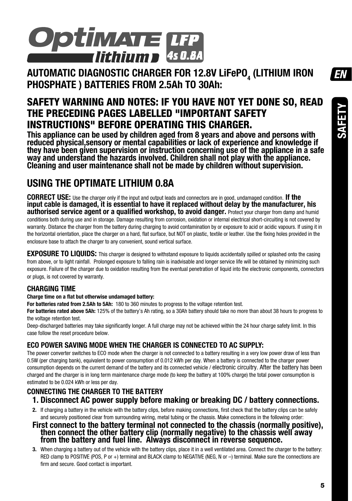

AUTOMATIC DIAGNOSTIC CHARGER FOR 12.8V LIFePO<sub>4</sub> (LITHIUM IRON<br>Ruegelijke > Rakkerege From 0 FM To 2001 **PHOSPHATE ) BATTERIES FROM 2.5Ah TO 30Ah:** 

### **SAFETY WARNING AND NOTES: IF YOU HAVE NOT YET DONE SO, READ THE PRECEDING PAGES LABELLED "IMPORTANT SAFETY INSTRUCTIONS" BEFORE OPERATING THIS CHARGER.**

**This appliance can be used by children aged from 8 years and above and persons with reduced physical,sensory or mental capabilities or lack of experience and knowledge if they have been given supervision or instruction concerning use of the appliance in a safe way and understand the hazards involved. Children shall not play with the appliance. Cleaning and user maintenance shall not be made by children without supervision.**

# **USING THE OPTIMATE LITHIUM 0.8A**

**CORRECT USE:** Use the charger only if the input and output leads and connectors are in good, undamaged condition. **If the input cable is damaged, it is essential to have it replaced without delay by the manufacturer, his authorised service agent or a qualified workshop, to avoid danger.** Protect your charger from damp and humid

conditions both during use and in storage. Damage resulting from corrosion, oxidation or internal electrical short-circuiting is not covered by warranty. Distance the charger from the battery during charging to avoid contamination by or exposure to acid or acidic vapours. If using it in the horizontal orientation, place the charger on a hard, flat surface, but NOT on plastic, textile or leather. Use the fixing holes provided in the enclosure base to attach the charger to any convenient, sound vertical surface.

**EXPOSURE TO LIQUIDS:** This charger is designed to withstand exposure to liquids accidentally spilled or splashed onto the casing from above, or to light rainfall. Prolonged exposure to falling rain is inadvisable and longer service life will be obtained by minimizing such exposure. Failure of the charger due to oxidation resulting from the eventual penetration of liquid into the electronic components, connectors or plugs, is not covered by warranty.

### **CHARGING TIME**

#### **Charge time on a flat but otherwise undamaged battery:**

**For batteries rated from 2.5Ah to 5Ah:** 180 to 360 minutes to progress to the voltage retention test.

**For batteries rated above 5Ah:** 125% of the battery's Ah rating, so a 30Ah battery should take no more than about 38 hours to progress to the voltage retention test.

Deep-discharged batteries may take significantly longer. A full charge may not be achieved within the 24 hour charge safety limit. In this case follow the reset procedure below.

### **ECO POWER SAVING MODE WHEN THE CHARGER IS CONNECTED TO AC SUPPLY:**

The power converter switches to ECO mode when the charger is not connected to a battery resulting in a very low power draw of less than 0.5W (per charging bank), equivalent to power consumption of 0.012 kWh per day. When a battery is connected to the charger power consumption depends on the current demand of the battery and its connected vehicle / electronic circuitry. After the battery has been charged and the charger is in long term maintenance charge mode (to keep the battery at 100% charge) the total power consumption is estimated to be 0.024 kWh or less per day.

### **CONNECTING THE CHARGER TO THE BATTERY**

### **1. Disconnect AC power supply before making or breaking DC / battery connections.**

**2.** If charging a battery in the vehicle with the battery clips, before making connections, first check that the battery clips can be safely and securely positioned clear from surrounding wiring, metal tubing or the chassis. Make connections in the following order:

### **First connect to the battery terminal not connected to the chassis (normally positive), then connect the other battery clip (normally negative) to the chassis well away from the battery and fuel line. Always disconnect in reverse sequence.**

**3.** When charging a battery out of the vehicle with the battery clips, place it in a well ventilated area. Connect the charger to the battery: RED clamp to POSITIVE (POS, P or +) terminal and BLACK clamp to NEGATIVE (NEG, N or -) terminal. Make sure the connections are firm and secure. Good contact is important.

FΝ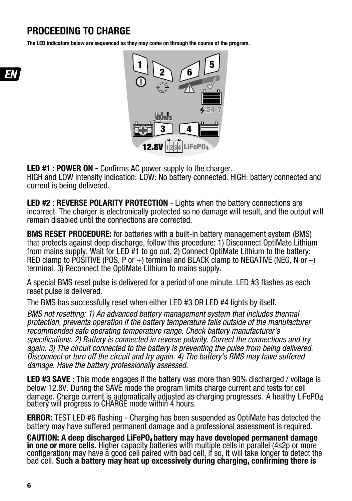## **PROCEEDING TO CHARGE**

**The LED indicators below are sequenced as they may come on through the course of the program.** 



**LED #1 : POWER ON -** Confirms AC power supply to the charger. HIGH and LOW intensity indication: LOW: No battery connected. HIGH: battery connected and current is being delivered.

**LED #2** : **REVERSE POLARITY PROTECTION** - Lights when the battery connections are incorrect. The charger is electronically protected so no damage will result, and the output will remain disabled until the connections are corrected.

**BMS RESET PROCEDURE:** for batteries with a built-in battery management system (BMS) that protects against deep discharge, follow this procedure: 1) Disconnect OptiMate Lithium from mains supply. Wait for LED #1 to go out. 2) Connect OptiMate Lithium to the battery: RED clamp to POSITIVE (POS, P or  $+$ ) terminal and BLACK clamp to NEGATIVE (NEG, N or  $-$ ) terminal. 3) Reconnect the OptiMate Lithium to mains supply.

A special BMS reset pulse is delivered for a period of one minute. LED #3 flashes as each reset pulse is delivered.

The BMS has successfully reset when either LED #3 OR LED #4 lights by itself.

BMS not resetting: 1) An advanced battery management system that includes thermal protection, prevents operation if the battery temperature falls outside of the manufacturer recommended safe operating temperature range. Check battery manufacturer's specifications. 2) Battery is connected in reverse polarity. Correct the connections and try again. 3) The circuit connected to the battery is preventing the pulse from being delivered. Disconnect or turn off the circuit and try again. 4) The battery's BMS may have suffered damage. Have the battery professionally assessed.

**LED #3 SAVE :** This mode engages if the battery was more than 90% discharged / voltage is below 12.8V. During the SAVE mode the program limits charge current and tests for cell damage. Charge current is automatically adjusted as charging progresses. A healthy LiFePO<sub>4</sub><br>battery will progress to CHARGE mode within 4 hours.

**ERROR:** TEST LED #6 flashing - Charging has been suspended as OptiMate has detected the battery may have suffered permanent damage and a professional assessment is required.

CAUTION: A deep discharged LiFePO<sub>4</sub> battery may have developed permanent damage<br>in one or more cells. Higher capacity batteries with multiple cells in parallel (4s2p or more<br>configeration) may have a good cell paired with bad cell. **Such a battery may heat up excessively during charging, confirming there is**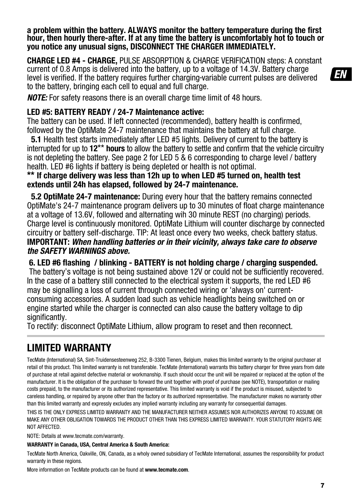**a problem within the battery. ALWAYS monitor the battery temperature during the first hour, then hourly there-after. If at any time the battery is uncomfortably hot to touch or you notice any unusual signs, DISCONNECT THE CHARGER IMMEDIATELY.** 

**CHARGE LED #4 - CHARGE,** PULSE ABSORPTION & CHARGE VERIFICATION steps: A constant current of 0.8 Amps is delivered into the battery, up to a voltage of 14.3V. Battery charge level is verified. If the battery requires further charging variable current pulses are delivered to the battery, bringing each cell to equal and full charge.

**NOTE:** For safety reasons there is an overall charge time limit of 48 hours.

### **LED #5: BATTERY READY / 24-7 Maintenance active:**

The battery can be used. If left connected (recommended), battery health is confirmed, followed by the OptiMate 24-7 maintenance that maintains the battery at full charge.

 **5.1** Health test starts immediately after LED #5 lights. Delivery of current to the battery is interrupted for up to **12**\*\* **hours** to allow the battery to settle and confirm that the vehicle circuitry is not depleting the battery. See page 2 for LED 5 & 6 corresponding to charge level / battery health. LED #6 lights if battery is being depleted or health is not optimal.

**\*\* If charge delivery was less than 12h up to when LED #5 turned on, health test extends until 24h has elapsed, followed by 24-7 maintenance.** 

 **5.2 OptiMate 24-7 maintenance:** During every hour that the battery remains connected OptiMate's 24-7 maintenance program delivers up to 30 minutes of float charge maintenance at a voltage of 13.6V, followed and alternating wih 30 minute REST (no charging) periods. Charge level is continuously monitored. OptiMate Lithium will counter discharge by connected circuitry or battery self-discharge. TIP: At least once every two weeks, check battery status. **IMPORTANT:** When handling batteries or in their vicinity, always take care to observe the SAFETY WARNINGS above.

### **6. LED #6 flashing / blinking - BATTERY is not holding charge / charging suspended.**

 The battery's voltage is not being sustained above 12V or could not be sufficiently recovered. In the case of a battery still connected to the electrical system it supports, the red LED #6 may be signalling a loss of current through connected wiring or 'always on' currentconsuming accessories. A sudden load such as vehicle headlights being switched on or engine started while the charger is connected can also cause the battery voltage to dip significantly.

To rectify: disconnect OptiMate Lithium, allow program to reset and then reconnect.

# **LIMITED WARRANTY**

TecMate (International) SA, Sint-Truidensesteenweg 252, B-3300 Tienen, Belgium, makes this limited warranty to the original purchaser at retail of this product. This limited warranty is not transferable. TecMate (International) warrants this battery charger for three years from date of purchase at retail against defective material or workmanship. If such should occur the unit will be repaired or replaced at the option of the manufacturer. It is the obligation of the purchaser to forward the unit together with proof of purchase (see NOTE), transportation or mailing costs prepaid, to the manufacturer or its authorized representative. This limited warranty is void if the product is misused, subjected to careless handling, or repaired by anyone other than the factory or its authorized representative. The manufacturer makes no warranty other than this limited warranty and expressly excludes any implied warranty including any warranty for consequential damages.

THIS IS THE ONLY EXPRESS LIMITED WARRANTY AND THE MANUFACTURER NEITHER ASSUMES NOR AUTHORIZES ANYONE TO ASSUME OR MAKE ANY OTHER OBLIGATION TOWARDS THE PRODUCT OTHER THAN THIS EXPRESS LIMITED WARRANTY. YOUR STATUTORY RIGHTS ARE NOT AFFECTED.

NOTE: Details at www.tecmate.com/warranty.

#### **WARRANTY in Canada, USA, Central America & South America:**

TecMate North America, Oakville, ON, Canada, as a wholy owned subsidiary of TecMate International, assumes the responsibility for product warranty in these regions.

More information on TecMate products can be found at **www.tecmate.com**.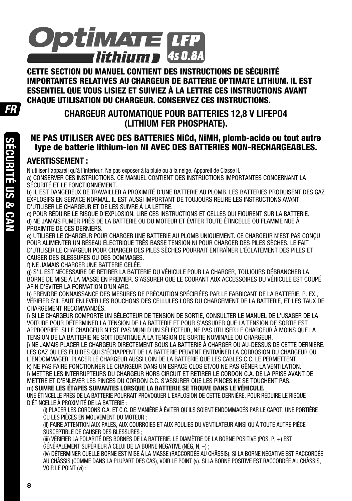

**CETTE SECTION DU MANUEL CONTIENT DES INSTRUCTIONS DE SÉCURITÉ IMPORTANTES RELATIVES AU CHARGEUR DE BATTERIE OPTIMATE LITHIUM. IL EST ESSENTIEL QUE VOUS LISIEZ ET SUIVIEZ À LA LETTRE CES INSTRUCTIONS AVANT CHAQUE UTILISATION DU CHARGEUR. CONSERVEZ CES INSTRUCTIONS.**

### **CHARGEUR AUTOMATIQUE POUR BATTERIES 12,8 V LIFEPO4 (LITHIUM FER PHOSPHATE).**

### **NE PAS UTILISER AVEC DES BATTERIES NiCd, NiMH, plomb-acide ou tout autre type de batterie lithium-ion NI AVEC DES BATTERIES NON-RECHARGEABLES.**

### **AVERTISSEMENT :**

N'utiliser l'appareil qu'à l'intérieur. Ne pas exposer à la pluie ou à la neige. Appareil de Classe II. a) CONSERVER CES INSTRUCTIONS. CE MANUEL CONTIENT DES INSTRUCTIONS IMPORTANTES CONCERNANT LA

SÉCURITÉ ET LE FONCTIONNEMENT.

b) IL EST DANGEREUX DE TRAVAILLER A PROXIMITÉ D'UNE BATTERIE ALL PLOMB. LES BATTERIES PRODUISENT DES GAZ EXPLOSIFS EN SERVICE NORMAL. IL EST AUSSI IMPORTANT DE TOUJOURS RELIRE LES INSTRUCTIONS AVANT D'UTILISER LE CHARGEUR ET DE LES SUIVRE À LA LETTRE.

c) POUR RÉDUIRE LE RISQUE D'EXPLOSION, LIRE CES INSTRUCTIONS ET CELLES QUI FIGURENT SUR LA BATTERIE. d) NE JAMAIS FUMER PRÈS DE LA BATTERIE OU DU MOTEUR ET ÉVITER TOUTE ÉTINCELLE OU FLAMME NUE À PROXIMITÉ DE CES DERNIERS.

e) UTILISER LE CHARGEUR POUR CHARGER UNE BATTERIE AU PLOMB UNIQUEMENT. CE CHARGEUR N'EST PAS CONÇU POUR ALIMENTER UN RÉSEAU ÉLECTRIQUE TRÈS BASSE TENSION NI POUR CHARGER DES PILES SÈCHES. LE FAIT D'UTILISER LE CHARGEUR POUR CHARGER DES PILES SÈCHES POURRAIT ENTRAÎNER L'ÉCLATEMENT DES PILES ET CAUSER DES BLESSURES OU DES DOMMAGES.

f) NE JAMAIS CHARGER UNE BATTERIE GELÉE.

g) S'IL EST NÉCESSAIRE DE RETIRER LA BATTERIE DU VÉHICULE POUR LA CHARGER, TOUJOURS DÉBRANCHER LA BORNE DE MISE À LA MASSE EN PREMIER. S'ASSURER QUE LE COURANT AUX ACCESSOIRES DU VÉHICULE EST COUPÉ AFIN D'ÉVITER LA FORMATION D'UN ARC.

h) PRENDRE CONNAISSANCE DES MESURES DE PRÉCAUTION SPÉCIFIÉES PAR LE FABRICANT DE LA BATTERIE, P. EX., VÉRIFIER S'IL FAUT ENLEVER LES BOUCHONS DES CELLULES LORS DU CHARGEMENT DE LA BATTERIE, ET LES TAUX DE CHARGEMENT RECOMMANDÉS.

i) SI LE CHARGEUR COMPORTE UN SÉLECTEUR DE TENSION DE SORTIE, CONSULTER LE MANUEL DE L'USAGER DE LA VOITURE POUR DÉTERMINER LA TENSION DE LA BATTERIE ET POUR S'ASSURER QUE LA TENSION DE SORTIE EST APPROPRIÉE. SI LE CHARGEUR N'EST PAS MUNI D'UN SÉLECTEUR, NE PAS UTILISER LE CHARGEUR À MOINS QUE LA TENSION DE LA BATTERIE NE SOIT IDENTIQUE À LA TENSION DE SORTIE NOMINALE DU CHARGEUR.

j) NE JAMAIS PLACER LE CHARGEUR DIRECTEMENT SOUS LA BATTERIE À CHARGER OU AU-DESSUS DE CETTE DERNIÈRE. LES GAZ OU LES FLUIDES QUI S'ÉCHAPPENT DE LA BATTERIE PEUVENT ENTRAÎNER LA CORROSION DU CHARGEUR OU L'ENDOMMAGER. PLACER LE CHARGEUR AUSSI LOIN DE LA BATTERIE QUE LES CABLES C.C. LE PERMETTENT. k) NE PAS FAIRE FONCTIONNER LE CHARGEUR DANS UN ESPACE CLOS ET/OU NE PAS GÊNER LA VENTILATION. l) METTRE LES INTERRUPTEURS DU CHARGEUR HORS CIRCUIT ET RETIRER LE CORDON C.A. DE LA PRISE AVANT DE METTRE ET D'ENLEVER LES PINCES DU CORDON C.C. S'ASSURER QUE LES PINCES NE SE TOUCHENT PAS. m) **SUIVRE LES ÉTAPES SUIVANTES LORSQUE LA BATTERIE SE TROUVE DANS LE VÉHICULE.**  UNE ÉTINCELLE PRÈS DE LA BATTERIE POURRAIT PROVOQUER L'EXPLOSION DE CETTE DERNIÈRE. POUR RÉDUIRE LE RISQUE D'ÉTINCELLE À PROXIMITÉ DE LA BATTERIE :

(i) PLACER LES CORDONS C.A. ET C.C. DE MANIÈRE À ÉVITER QU'ILS SOIENT ENDOMMAGÉS PAR LE CAPOT, UNE PORTIÈRE OU LES PIÈCES EN MOUVEMENT DU MOTEUR ;

(ii) FAIRE ATTENTION AUX PALES, AUX COURROIES ET AUX POULIES DU VENTILATEUR AINSI QU'À TOUTE AUTRE PIÈCE SUSCEPTIBLE DE CAUSER DES BLESSURES ;

(iii) VÉRIFIER LA POLARITÉ DES BORNES DE LA BATTERIE. LE DIAMÈTRE DE LA BORNE POSITIVE (POS, P, +) EST GÉNÉRALEMENT SUPÉRIEUR À CELUI DE LA BORNE NÉGATIVE (NÉG, N, –) ;

(iv) DÉTERMINER QUELLE BORNE EST MISE À LA MASSE (RACCORDÉE AU CHÂSSIS). SI LA BORNE NÉGATIVE EST RACCORDÉE AU CHÂSSIS (COMME DANS LA PLUPART DES CAS), VOIR LE POINT (v). SI LA BORNE POSITIVE EST RACCORDÉE AU CHÂSSIS, VOIR LE POINT (vi) ;

FR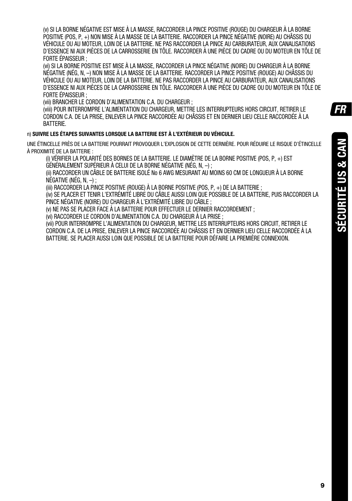(v) SI LA BORNE NÉGATIVE EST MISE À LA MASSE, RACCORDER LA PINCE POSITIVE (ROUGE) DU CHARGEUR À LA BORNE POSITIVE (POS, P, +) NON MISE À LA MASSE DE LA BATTERIE. RACCORDER LA PINCE NÉGATIVE (NOIRE) AU CHÂSSIS DU VÉHICULE OU AU MOTEUR, LOIN DE LA BATTERIE. NE PAS RACCORDER LA PINCE AU CARBURATEUR, AUX CANALISATIONS D'ESSENCE NI AUX PIÈCES DE LA CARROSSERIE EN TÔLE. RACCORDER À UNE PIÈCE DU CADRE OU DU MOTEUR EN TÔLE DE FORTE ÉPAISSEUR ;

(vi) SI LA BORNE POSITIVE EST MISE À LA MASSE, RACCORDER LA PINCE NÉGATIVE (NOIRE) DU CHARGEUR À LA BORNE NÉGATIVE (NÉG, N, –) NON MISE À LA MASSE DE LA BATTERIE. RACCORDER LA PINCE POSITIVE (ROUGE) AU CHÂSSIS DU VÉHICULE OU AU MOTEUR, LOIN DE LA BATTERIE. NE PAS RACCORDER LA PINCE AU CARBURATEUR, AUX CANALISATIONS D'ESSENCE NI AUX PIÈCES DE LA CARROSSERIE EN TÔLE. RACCORDER À UNE PIÈCE DU CADRE OU DU MOTEUR EN TÔLE DE FORTE ÉPAISSEUR ;

(vii) BRANCHER LE CORDON D'ALIMENTATION C.A. DU CHARGEUR ;

(viii) POUR INTERROMPRE L'ALIMENTATION DU CHARGEUR, METTRE LES INTERRUPTEURS HORS CIRCUIT, RETIRER LE CORDON C.A. DE LA PRISE, ENLEVER LA PINCE RACCORDÉE AU CHÂSSIS ET EN DERNIER LIEU CELLE RACCORDÉE À LA **BATTERIE** 

#### n) **SUIVRE LES ÉTAPES SUIVANTES LORSQUE LA BATTERIE EST À L'EXTÉRIEUR DU VÉHICULE.**

UNE ÉTINCELLE PRÈS DE LA BATTERIE POURRAIT PROVOQUER L'EXPLOSION DE CETTE DERNIÈRE. POUR RÉDUIRE LE RISQUE D'ÉTINCELLE À PROXIMITÉ DE LA BATTERIE :

(i) VÉRIFIER LA POLARITÉ DES BORNES DE LA BATTERIE. LE DIAMÈTRE DE LA BORNE POSITIVE (POS, P, +) EST GÉNÉRALEMENT SUPÉRIEUR À CELUI DE LA BORNE NÉGATIVE (NÉG, N, –) ;

(ii) RACCORDER UN CÂBLE DE BATTERIE ISOLÉ No 6 AWG MESURANT AU MOINS 60 CM DE LONGUEUR À LA BORNE NÉGATIVE (NÉG, N, –) ;

(iii) RACCORDER LA PINCE POSITIVE (ROUGE) À LA BORNE POSITIVE (POS, P, +) DE LA BATTERIE ;

(iv) SE PLACER ET TENIR L'EXTRÉMITÉ LIBRE DU CÂBLE AUSSI LOIN QUE POSSIBLE DE LA BATTERIE, PUIS RACCORDER LA PINCE NÉGATIVE (NOIRE) DU CHARGEUR À L'EXTRÉMITÉ LIBRE DU CÂBLE ;

(v) NE PAS SE PLACER FACE À LA BATTERIE POUR EFFECTUER LE DERNIER RACCORDEMENT ;

(vi) RACCORDER LE CORDON D'ALIMENTATION C.A. DU CHARGEUR À LA PRISE ;

(vii) POUR INTERROMPRE L'ALIMENTATION DU CHARGEUR, METTRE LES INTERRUPTEURS HORS CIRCUIT, RETIRER LE CORDON C.A. DE LA PRISE, ENLEVER LA PINCE RACCORDÉE AU CHÂSSIS ET EN DERNIER LIEU CELLE RACCORDÉE À LA BATTERIE. SE PLACER AUSSI LOIN QUE POSSIBLE DE LA BATTERIE POUR DÉFAIRE LA PREMIÈRE CONNEXION.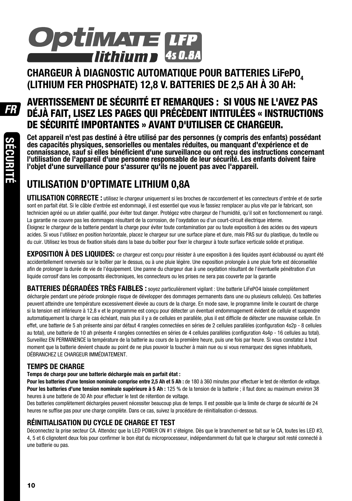

# **CHARGEUR À DIAGNOSTIC AUTOMATIQUE POUR BATTERIES LiFePO4 (LITHIUM FER PHOSPHATE) 12,8 V. BATTERIES DE 2,5 AH À 30 AH:**

### **AVERTISSEMENT DE SÉCURITÉ ET REMARQUES : SI VOUS NE L'AVEZ PAS DÉJÀ FAIT, LISEZ LES PAGES QUI PRÉCÈDENT INTITULÉES « INSTRUCTIONS DE SÉCURITÉ IMPORTANTES » AVANT D'UTILISER CE CHARGEUR.**

**Cet appareil n'est pas destiné à être utilisé par des personnes (y compris des enfants) possédant des capacités physiques, sensorielles ou mentales réduites, ou manquant d'expérience et de connaissance, sauf si elles bénéficient d'une surveillance ou ont reçu des instructions concernant l'utilisation de l'appareil d'une personne responsable de leur sécurité. Les enfants doivent faire l'objet d'une surveillance pour s'assurer qu'ils ne jouent pas avec l'appareil.**

# **UTILISATION D'OPTIMATE LITHIUM 0,8A**

**UTILISATION CORRECTE :** utilisez le chargeur uniquement si les broches de raccordement et les connecteurs d'entrée et de sortie sont en parfait état. Si le câble d'entrée est endommagé, il est essentiel que vous le fassiez remplacer au plus vite par le fabricant, son technicien agréé ou un atelier qualifié, pour éviter tout danger. Protégez votre chargeur de l'humidité, qu'il soit en fonctionnement ou rangé. La garantie ne couvre pas les dommages résultant de la corrosion, de l'oxydation ou d'un court-circuit électrique interne. Éloignez le chargeur de la batterie pendant la charge pour éviter toute contamination par ou toute exposition à des acides ou des vapeurs

acides. Si vous l'utilisez en position horizontale, placez le chargeur sur une surface plane et dure, mais PAS sur du plastique, du textile ou du cuir. Utilisez les trous de fixation situés dans la base du boîtier pour fixer le chargeur à toute surface verticale solide et pratique.

**EXPOSITION À DES LIQUIDES:** ce chargeur est conçu pour résister à une exposition à des liquides ayant éclaboussé ou ayant été accidentellement renversés sur le boîtier par le dessus, ou à une pluie légère. Une exposition prolongée à une pluie forte est déconseillée afin de prolonger la durée de vie de l'équipement. Une panne du chargeur due à une oxydation résultant de l'éventuelle pénétration d'un liquide corrosif dans les composants électroniques, les connecteurs ou les prises ne sera pas couverte par la garantie

**BATTERIES DÉGRADÉES TRÈS FAIBLES :** soyez particulièrement vigilant : Une batterie LiFePO4 laissée complètement déchargée pendant une période prolongée risque de développer des dommages permanents dans une ou plusieurs cellule(s). Ces batteries peuvent atteindre une température excessivement élevée au cours de la charge. En mode save, le programme limite le courant de charge si la tension est inférieure à 12,8 v et le programme est conçu pour détecter un éventuel endommagement évident de cellule et suspendre automatiquement la charge le cas échéant, mais plus il y a de cellules en parallèle, plus il est difficile de détecter une mauvaise cellule. En effet, une batterie de 5 ah présente ainsi par défaut 4 rangées connectées en séries de 2 cellules parallèles (configuration 4s2p - 8 cellules au total), une batterie de 10 ah présente 4 rangées connectées en séries de 4 cellules parallèles (configuration 4s4p - 16 cellules au total). Surveillez EN PERMANENCE la température de la batterie au cours de la première heure, puis une fois par heure. Si vous constatez à tout moment que la batterie devient chaude au point de ne plus pouvoir la toucher à main nue ou si vous remarquez des signes inhabituels, DÉBRANCHEZ LE CHARGEUR IMMÉDIATEMENT.

### **TEMPS DE CHARGE**

#### **Temps de charge pour une batterie déchargée mais en parfait état :**

Pour les batteries d'une tension nominale comprise entre 2,5 Ah et 5 Ah : de 180 à 360 minutes pour effectuer le test de rétention de voltage. **Pour les batteries d'une tension nominale supérieure à 5 Ah :** 125 % de la tension de la batterie ; il faut donc au maximum environ 38 heures à une batterie de 30 Ah pour effectuer le test de rétention de voltage.

Des batteries complètement déchargées peuvent nécessiter beaucoup plus de temps. Il est possible que la limite de charge de sécurité de 24 heures ne suffise pas pour une charge complète. Dans ce cas, suivez la procédure de réinitialisation ci-dessous.

### **RÉINITIALISATION DU CYCLE DE CHARGE ET TEST**

Déconnectez la prise secteur CA. Attendez que la LED POWER ON #1 s'éteigne. Dès que le branchement se fait sur le CA, toutes les LED #3, 4, 5 et 6 clignotent deux fois pour confirmer le bon état du microprocesseur, indépendamment du fait que le chargeur soit resté connecté à une batterie ou pas.

 $FR$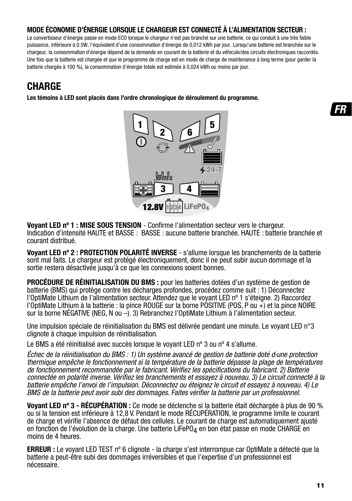### **MODE ÉCONOMIE D'ÉNERGIE LORSQUE LE CHARGEUR EST CONNECTÉ À L'ALIMENTATION SECTEUR :**

Le convertisseur d'énergie passe en mode ECO lorsque le chargeur n'est pas branché sur une batterie, ce qui conduit à une très faible puissance, inférieure à 0.5W, l'équivalent d'une consommation d'énergie de 0,012 kWh par jour. Lorsqu'une batterie est branchée sur le chargeur, la consommation d'énergie dépend de la demande en courant de la batterie et du véhicule/des circuits électroniques raccordés. Une fois que la batterie est chargée et que le programme de charge est en mode de charge de maintenance à long terme (pour garder la batterie chargée à 100 %), la consommation d'énergie totale est estimée à 0,024 kWh ou moins par jour.

### **CHARGE**

**Les témoins à LED sont placés dans l'ordre chronologique de déroulement du programme.** 



Voyant LED n<sup>o</sup> 1 : MISE SOUS TENSION - Confirme l'alimentation secteur vers le chargeur. Indication d'intensité HAUTE et BASSE : BASSE : aucune batterie branchée. HAUTE : batterie branchée et courant distribué.

**Voyant LED nº 2 : PROTECTION POLARITÉ INVERSE** - s'allume lorsque les branchements de la batterie sont mal faits. Le chargeur est protégé électroniquement, donc il ne peut subir aucun dommage et la sortie restera désactivée jusqu'à ce que les connexions soient bonnes.

**PROCÉDURE DE RÉINITIALISATION DU BMS :** pour les batteries dotées d'un système de gestion de batterie (BMS) qui protège contre les décharges profondes, procédez comme suit : 1) Déconnectez l'OptiMate Lithium de l'alimentation secteur. Attendez que le voyant LED nº 1 s'éteigne. 2) Raccordez l'OptiMate Lithium à la batterie : la pince ROUGE sur la borne POSITIVE (POS, P ou +) et la pince NOIRE sur la borne NÉGATIVE (NEG, N ou –). 3) Rebranchez l'OptiMate Lithium à l'alimentation secteur.

Une impulsion spéciale de réinitialisation du BMS est délivrée pendant une minute. Le voyant LED n°3 clignote à chaque impulsion de réinitialisation.

Le BMS a été réinitialisé avec succès lorsque le voyant LED nº 3 ou nº 4 s'allume.

Échec de la réinitialisation du BMS : 1) Un système avancé de gestion de batterie doté d›une protection thermique empêche le fonctionnement si la température de la batterie dépasse la plage de températures de fonctionnement recommandée par le fabricant. Vérifiez les spécifications du fabricant. 2) Batterie connectée en polarité inverse. Vérifiez les branchements et essayez à nouveau. 3) Le circuit connecté à la batterie empêche l'envoi de l'impulsion. Déconnectez ou éteignez le circuit et essayez à nouveau. 4) Le BMS de la batterie peut avoir subi des dommages. Faites vérifier la batterie par un professionnel.

**Voyant LED nº 3 - RÉCUPÉRATION :** Ce mode se déclenche si la batterie était déchargée à plus de 90 % ou si la tension est inférieure à 12,8 V. Pendant le mode RÉCUPÉRATION, le programme limite le courant de charge et vérifie l'absence de défaut des cellules. Le courant de charge est automatiquement ajusté en fonction de l'évolution de la charge. Une batterie LiFePO $_A$  en bon état passe en mode CHARGE en moins de 4 heures.

**ERREUR :** Le voyant LED TEST nº 6 clignote - la charge s'est interrompue car OptiMate a détecté que la batterie a peut-être subi des dommages irréversibles et que l'expertise d'un professionnel est nécessaire.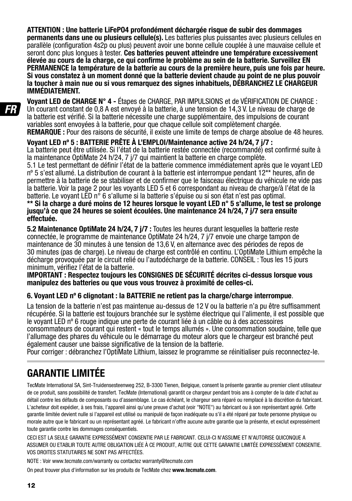**ATTENTION : Une batterie LiFePO4 profondément déchargée risque de subir des dommages permanents dans une ou plusieurs cellule(s).** Les batteries plus puissantes avec plusieurs cellules en parallèle (configuration 4s2p ou plus) peuvent avoir une bonne cellule couplée à une mauvaise cellule et seront donc plus longues à tester. **Ces batteries peuvent atteindre une température excessivement élevée au cours de la charge, ce qui confi rme le problème au sein de la batterie. Surveillez EN PERMANENCE la température de la batterie au cours de la première heure, puis une fois par heure. Si vous constatez à un moment donné que la batterie devient chaude au point de ne plus pouvoir la toucher à main nue ou si vous remarquez des signes inhabituels, DÉBRANCHEZ LE CHARGEUR IMMÉDIATEMENT.** 

**Voyant LED de CHARGE N° 4 -** Étapes de CHARGE, PAR IMPULSIONS et de VÉRIFICATION DE CHARGE : Un courant constant de 0,8 A est envoyé à la batterie, à une tension de 14,3 V. Le niveau de charge de la batterie est vérifié. Si la batterie nécessite une charge supplémentaire, des impulsions de courant variables sont envoyées à la batterie, pour que chaque cellule soit complètement chargée. **REMARQUE :** Pour des raisons de sécurité, il existe une limite de temps de charge absolue de 48 heures.

### **Voyant LED nº 5 : BATTERIE PRÊTE À L'EMPLOI/Maintenance active 24 h/24, 7 j/7 :**

La batterie peut être utilisée. Si l'état de la batterie restée connectée (recommandé) est confirmé suite à la maintenance OptiMate 24 h/24, 7 j/7 qui maintient la batterie en charge complète.

5.1 Le test permettant de définir l'état de la batterie commence immédiatement après que le voyant LED nº 5 s'est allumé. La distribution de courant à la batterie est interrompue pendant 12<sup>\*\*</sup> heures, afin de permettre à la batterie de se stabiliser et de confirmer que le faisceau électrique du véhicule ne vide pas la batterie. Voir la page 2 pour les voyants LED 5 et 6 correspondant au niveau de charge/à l'état de la batterie. Le voyant LED n° 6 s'allume si la batterie s'épuise ou si son état n'est pas optimal.

**\*\* Si la charge a duré moins de 12 heures lorsque le voyant LED n° 5 s'allume, le test se prolonge jusqu'à ce que 24 heures se soient écoulées. Une maintenance 24 h/24, 7 j/7 sera ensuite effectuée.** 

**5.2 Maintenance OptiMate 24 h/24, 7 j/7 :** Toutes les heures durant lesquelles la batterie reste connectée, le programme de maintenance OptiMate 24 h/24, 7 j/7 envoie une charge tampon de maintenance de 30 minutes à une tension de 13,6 V, en alternance avec des périodes de repos de 30 minutes (pas de charge). Le niveau de charge est contrôlé en continu. L'OptiMate Lithium empêche la décharge provoquée par le circuit relié ou l'autodécharge de la batterie. CONSEIL : Tous les 15 jours minimum, vérifiez l'état de la batterie.

**IMPORTANT : Respectez toujours les CONSIGNES DE SÉCURITÉ décrites ci-dessus lorsque vous manipulez des batteries ou que vous vous trouvez à proximité de celles-ci.** 

### **6. Voyant LED nº 6 clignotant : la BATTERIE ne retient pas la charge/charge interrompue**.

La tension de la batterie n'est pas maintenue au-dessus de 12 V ou la batterie n'a pu être suffisamment récupérée. Si la batterie est toujours branchée sur le système électrique qui l'alimente, il est possible que le voyant LED nº 6 rouge indique une perte de courant liée à un câble ou à des accessoires consommateurs de courant qui restent « tout le temps allumés ». Une consommation soudaine, telle que l'allumage des phares du véhicule ou le démarrage du moteur alors que le chargeur est branché peut également causer une baisse significative de la tension de la batterie.

Pour corriger : débranchez l'OptiMate Lithium, laissez le programme se réinitialiser puis reconnectez-le.

# **GARANTIE LIMITÉE**

TecMate International SA, Sint-Truidensesteenweg 252, B-3300 Tienen, Belgique, consent la présente garantie au premier client utilisateur de ce produit, sans possibilité de transfert. TecMate (International) garantit ce chargeur pendant trois ans à compter de la date d'achat au détail contre les défauts de composants ou d'assemblage. Le cas échéant, le chargeur sera réparé ou remplacé à la discrétion du fabricant. L'acheteur doit expédier, à ses frais, l'appareil ainsi qu'une preuve d'achat (voir "NOTE") au fabricant ou à son représentant agréé. Cette garantie limitée devient nulle si l'appareil est utilisé ou manipulé de façon inadéquate ou s'il a été réparé par toute personne physique ou morale autre que le fabricant ou un représentant agréé. Le fabricant n'offre aucune autre garantie que la présente, et exclut expressément toute garantie contre les dommages conséquentiels.

CECI EST LA SEULE GARANTIE EXPRESSÉMENT CONSENTIE PAR LE FABRICANT. CELUI-CI N'ASSUME ET N'AUTORISE QUICONQUE A ASSUMER OU ETABLIR TOUTE AUTRE OBLIGATION LIÉE À CE PRODUIT, AUTRE QUE CETTE GARANTIE LIMITÉE EXPRESSÉMENT CONSENTIE. VOS DROITES STATUTAIRES NE SONT PAS AFFECTÉES.

NOTE : Voir www.tecmate.com/warranty ou contactez warranty@tecmate.com

On peut trouver plus d'information sur les produits de TecMate chez **www.tecmate.com**.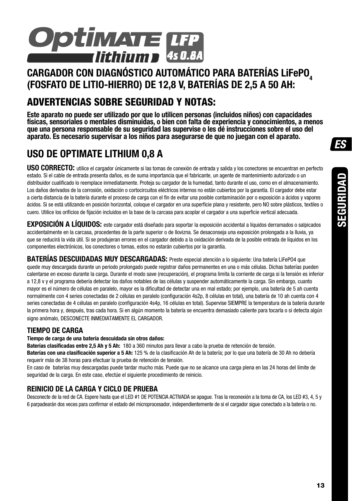

## **CARGADOR CON DIAGNÓSTICO AUTOMÁTICO PARA BATERÍAS LIFEPO, (FOSFATO DE LITIO-HIERRO) DE 12,8 V, BATERÍAS DE 2,5 A 50 AH:**

# **ADVERTENCIAS SOBRE SEGURIDAD Y NOTAS:**

**Este aparato no puede ser utilizado por que lo utilicen personas (incluidos niños) con capacidades físicas, sensoriales o mentales disminuidas, o bien con falta de experiencia y conocimientos, a menos que una persona responsable de su seguridad las supervise o les dé instrucciones sobre el uso del aparato. Es necesario supervisar a los niños para asegurarse de que no juegan con el aparato.** 

# **USO DE OPTIMATE LITHIUM 0,8 A**

**USO CORRECTO:** utilice el cargador únicamente si las tomas de conexión de entrada y salida y los conectores se encuentran en perfecto estado. Si el cable de entrada presenta daños, es de suma importancia que el fabricante, un agente de mantenimiento autorizado o un distribuidor cualificado lo reemplace inmediatamente. Proteja su cargador de la humedad, tanto durante el uso, como en el almacenamiento. Los daños derivados de la corrosión, oxidación o cortocircuitos eléctricos internos no están cubiertos por la garantía. El cargador debe estar a cierta distancia de la batería durante el proceso de carga con el fin de evitar una posible contaminación por o exposición a ácidos y vapores ácidos. Si se está utilizando en posición horizontal, coloque el cargador en una superficie plana y resistente, pero NO sobre plásticos, textiles o cuero. Utilice los orificios de fijación incluidos en la base de la carcasa para acoplar el cargador a una superficie vertical adecuada.

**EXPOSICIÓN A LÍQUIDOS:** este cargador está diseñado para soportar la exposición accidental a líquidos derramados o salpicados accidentalmente en la carcasa, procedentes de la parte superior o de llovizna. Se desaconseja una exposición prolongada a la lluvia, ya que se reducirá la vida útil. Si se produjeran errores en el cargador debido a la oxidación derivada de la posible entrada de líquidos en los componentes electrónicos, los conectores o tomas, estos no estarán cubiertos por la garantía.

**BATERÍAS DESCUIDADAS MUY DESCARGADAS:** Preste especial atención a lo siguiente: Una batería LiFeP04 que quede muy descargada durante un periodo prolongado puede registrar daños permanentes en una o más células. Dichas baterías pueden calentarse en exceso durante la carga. Durante el modo save (recuperación), el programa limita la corriente de carga si la tensión es inferior a 12,8 v y el programa debería detectar los daños notables de las células y suspender automáticamente la carga. Sin embargo, cuanto mayor es el número de células en paralelo, mayor es la dificultad de detectar una en mal estado; por ejemplo, una batería de 5 ah cuenta normalmente con 4 series conectadas de 2 células en paralelo (configuración 4s2p, 8 células en total), una batería de 10 ah cuenta con 4 series conectadas de 4 células en paralelo (configuración 4s4p, 16 células en total). Supervise SIEMPRE la temperatura de la batería durante la primera hora y, después, tras cada hora. Si en algún momento la batería se encuentra demasiado caliente para tocarla o si detecta algún signo anómalo, DESCONECTE INMEDIATAMENTE EL CARGADOR.

### **TIEMPO DE CARGA**

#### **Tiempo de carga de una batería descuidada sin otros daños:**

**Baterías clasificadas entre 2,5 Ah y 5 Ah:** 180 a 360 minutos para llevar a cabo la prueba de retención de tensión.

**Baterías con una clasificación superior a 5 Ah:** 125 % de la clasificación Ah de la batería; por lo que una batería de 30 Ah no debería requerir más de 38 horas para efectuar la prueba de retención de tensión.

En caso de baterías muy descargadas puede tardar mucho más. Puede que no se alcance una carga plena en las 24 horas del límite de seguridad de la carga. En este caso, efectúe el siguiente procedimiento de reinicio.

### **REINICIO DE LA CARGA Y CICLO DE PRUEBA**

Desconecte de la red de CA. Espere hasta que el LED #1 DE POTENCIA ACTIVADA se apague. Tras la reconexión a la toma de CA, los LED #3, 4, 5 y 6 parpadearán dos veces para confirmar el estado del microprocesador, independientemente de si el cargador sigue conectado a la batería o no.

ES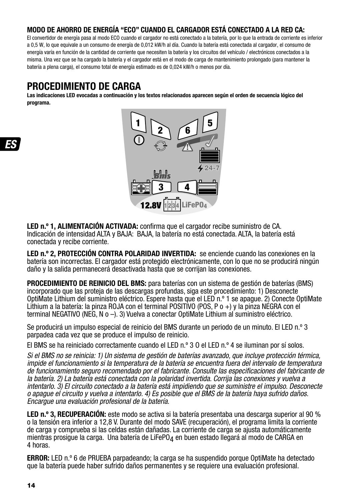### **MODO DE AHORRO DE ENERGÍA "ECO" CUANDO EL CARGADOR ESTÁ CONECTADO A LA RED CA:**

El convertidor de energía pasa al modo ECO cuando el cargador no está conectado a la batería, por lo que la entrada de corriente es inferior a 0,5 W, lo que equivale a un consumo de energía de 0,012 kW/h al día. Cuando la batería está conectada al cargador, el consumo de energía varía en función de la cantidad de corriente que necesiten la batería y los circuitos del vehículo / electrónicos conectados a la misma. Una vez que se ha cargado la batería y el cargador está en el modo de carga de mantenimiento prolongado (para mantener la batería a plena carga), el consumo total de energía estimado es de 0,024 kW/h o menos por día.

### **PROCEDIMIENTO DE CARGA**

**Las indicaciones LED evocadas a continuación y los textos relacionados aparecen según el orden de secuencia lógico del programa.** 



**LED n.º 1, ALIMENTACIÓN ACTIVADA:** confirma que el cargador recibe suministro de CA. Indicación de intensidad ALTA y BAJA: BAJA, la batería no está conectada. ALTA, la batería está conectada y recibe corriente.

**LED n.º 2, PROTECCIÓN CONTRA POLARIDAD INVERTIDA:** se enciende cuando las conexiones en la batería son incorrectas. El cargador está protegido electrónicamente, con lo que no se producirá ningún daño y la salida permanecerá desactivada hasta que se corrijan las conexiones.

**PROCEDIMIENTO DE REINICIO DEL BMS:** para baterías con un sistema de gestión de baterías (BMS) incorporado que las proteja de las descargas profundas, siga este procedimiento: 1) Desconecte OptiMate Lithium del suministro eléctrico. Espere hasta que el LED n.º 1 se apague. 2) Conecte OptiMate Lithium a la batería: la pinza ROJA con el terminal POSITIVO (POS, P o +) y la pinza NEGRA con el terminal NEGATIVO (NEG, N o –). 3) Vuelva a conectar OptiMate Lithium al suministro eléctrico.

Se producirá un impulso especial de reinicio del BMS durante un periodo de un minuto. El LED n.º 3 parpadea cada vez que se produce el impulso de reinicio.

El BMS se ha reiniciado correctamente cuando el LED n.º 3 O el LED n.º 4 se iluminan por sí solos.

Si el BMS no se reinicia: 1) Un sistema de gestión de baterías avanzado, que incluye protección térmica, impide el funcionamiento si la temperatura de la batería se encuentra fuera del intervalo de temperatura de funcionamiento seguro recomendado por el fabricante. Consulte las especificaciones del fabricante de la batería. 2) La batería está conectada con la polaridad invertida. Corrija las conexiones y vuelva a intentarlo. 3) El circuito conectado a la batería está impidiendo que se suministre el impulso. Desconecte o apague el circuito y vuelva a intentarlo. 4) Es posible que el BMS de la batería haya sufrido daños. Encargue una evaluación profesional de la batería.

**LED n.º 3, RECUPERACIÓN:** este modo se activa si la batería presentaba una descarga superior al 90 % o la tensión era inferior a 12,8 V. Durante del modo SAVE (recuperación), el programa limita la corriente de carga y comprueba si las celdas están dañadas. La corriente de carga se ajusta automáticamente mientras prosigue la carga. Una batería de LiFePO<sub>4</sub> en buen estado llegará al modo de CARGA en 4 horas.

**ERROR:** LED n.º 6 de PRUEBA parpadeando; la carga se ha suspendido porque OptiMate ha detectado que la batería puede haber sufrido daños permanentes y se requiere una evaluación profesional.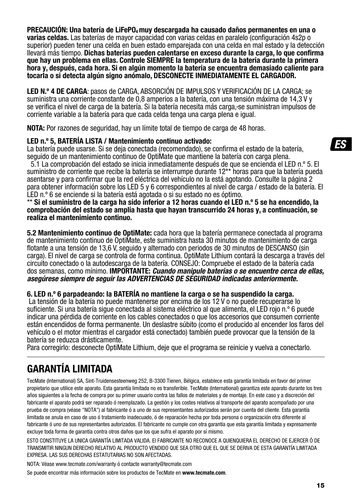### **PRECAUCIÓN: Una batería de LiFePO, muy descargada ha causado daños permanentes en una o**

varias celdas. Las baterías de mayor capacidad con varias celdas en paralelo (configuración 4s2p o superior) pueden tener una celda en buen estado emparejada con una celda en mal estado y la detección llevará más tiempo. **Dichas baterías pueden calentarse en exceso durante la carga, lo que confi rma que hay un problema en ellas. Controle SIEMPRE la temperatura de la batería durante la primera hora y, después, cada hora. Si en algún momento la batería se encuentra demasiado caliente para tocarla o si detecta algún signo anómalo, DESCONECTE INMEDIATAMENTE EL CARGADOR.** 

**LED N.º 4 DE CARGA**: pasos de CARGA, ABSORCIÓN DE IMPULSOS Y VERIFICACIÓN DE LA CARGA; se suministra una corriente constante de 0,8 amperios a la batería, con una tensión máxima de 14,3 V y se verifica el nivel de carga de la batería. Si la batería necesita más carga, se suministran impulsos de corriente variable a la batería para que cada celda tenga una carga plena e igual.

**NOTA:** Por razones de seguridad, hay un límite total de tiempo de carga de 48 horas.

### **LED n.º 5, BATERÍA LISTA / Mantenimiento continuo activado:**

La batería puede usarse. Si se deja conectada (recomendado), se confirma el estado de la batería, seguido de un mantenimiento continuo de OptiMate que mantiene la batería con carga plena.

 5.1 La comprobación del estado se inicia inmediatamente después de que se encienda el LED n.º 5. El suministro de corriente que recibe la batería se interrumpe durante 12\*\* horas para que la batería pueda asentarse y para confirmar que la red eléctrica del vehículo no la está agotando. Consulte la página 2 para obtener información sobre los LED 5 y 6 correspondientes al nivel de carga / estado de la batería. El LED n.º 6 se enciende si la batería está agotada o si su estado no es óptimo.

\*\* **Si el suministro de la carga ha sido inferior a 12 horas cuando el LED n.º 5 se ha encendido, la comprobación del estado se amplía hasta que hayan transcurrido 24 horas y, a continuación, se realiza el mantenimiento continuo.** 

**5.2 Mantenimiento continuo de OptiMate:** cada hora que la batería permanece conectada al programa de mantenimiento continuo de OptiMate, este suministra hasta 30 minutos de mantenimiento de carga flotante a una tensión de 13,6 V, seguido y alternado con periodos de 30 minutos de DESCANSO (sin carga). El nivel de carga se controla de forma continua. OptiMate Lithium contará la descarga a través del circuito conectado o la autodescarga de la batería. CONSEJO: Compruebe el estado de la batería cada dos semanas, como mínimo. **IMPORTANTE:** Cuando manipule baterías o se encuentre cerca de ellas, asegúrese siempre de seguir las ADVERTENCIAS DE SEGURIDAD indicadas anteriormente.

### **6. LED n.º 6 parpadeando: la BATERÍA no mantiene la carga o se ha suspendido la carga.**

 La tensión de la batería no puede mantenerse por encima de los 12 V o no puede recuperarse lo suficiente. Si una batería sigue conectada al sistema eléctrico al que alimenta, el LED rojo n.º 6 puede indicar una pérdida de corriente en los cables conectados o que los accesorios que consumen corriente están encendidos de forma permanente. Un deslastre súbito (como el producido al encender los faros del vehículo o el motor mientras el cargador está conectado) también puede provocar que la tensión de la batería se reduzca drásticamente.

Para corregirlo: desconecte OptiMate Lithium, deje que el programa se reinicie y vuelva a conectarlo.

# **GARANTÍA LIMITADA**

TecMate (International) SA, Sint-Truidensesteenweg 252, B-3300 Tienen, Bélgica, establece esta garantía limitada en favor del primer propietario que utilice este aparato. Esta garantía limitada no es transferible. TecMate (International) garantiza este aparato durante los tres años siguientes a la fecha de compra por su primer usuario contra las fallos de materiales y de montaje. En este caso y a discreción del fabricante el aparato podrá ser reparado ó reemplazado. La gestión y los costes relativos al transporte del aparato acompañado por una prueba de compra (véase "NOTA") al fabricante ó a uno de sus representantes autorizados serán por cuenta del cliente. Esta garantía limitada se anula en caso de uso ó tratamiento inadecuado, ó de reparación hecha por toda persona o organización otra diferente al fabricante ó uno de sus representantes autorizados. El fabricante no cumple con otra garantía que esta garantía limitada y expresamente excluye toda forma de garantía contra otros daños que los que sufra el aparato por sí mismo.

ESTO CONSTITUYE LA UNICA GARANTÍA LIMITADA VALIDA. El FABRICANTE NO RECONOCE A QUIENQUIERA EL DERECHO DE EJERCER Ó DE TRANSMITIR NINGUN DERECHO RELATIVO AL PRODUCTO VENDIDO QUE SEA OTRO QUE EL QUE SE DERIVA DE ESTA GARANTÍA LIMITADA EXPRESA. LAS SUS DERECHAS ESTATUTARIAS NO SON AFECTADAS.

NOTA: Véase www.tecmate.com/warranty ó contacte warranty@tecmate.com

Se puede encontrar más información sobre los productos de TecMate en **www.tecmate.com**.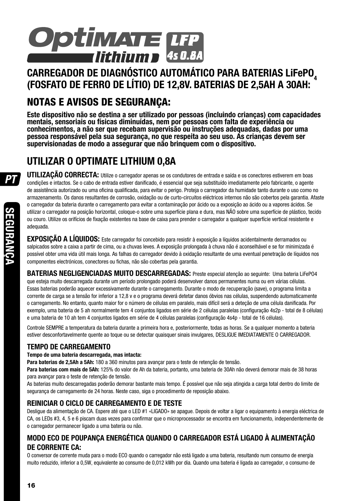

# **CARREGADOR DE DIAGNÓSTICO AUTOMÁTICO PARA BATERIAS LIFEPO. (FOSFATO DE FERRO DE LÍTIO) DE 12,8V. BATERIAS DE 2,5AH A 30AH:**

# **NOTAS E AVISOS DE SEGURANÇA:**

**Este dispositivo não se destina a ser utilizado por pessoas (incluindo crianças) com capacidades mentais, sensoriais ou físicas diminuídas, nem por pessoas com falta de experiência ou conhecimentos, a não ser que recebam supervisão ou instruções adequadas, dadas por uma pessoa responsável pela sua segurança, no que respeita ao seu uso. As crianças devem ser supervisionadas de modo a assegurar que não brinquem com o dispositivo.** 

# **UTILIZAR O OPTIMATE LITHIUM 0,8A**

**UTILIZAÇÃO CORRECTA:** Utilize o carregador apenas se os condutores de entrada e saída e os conectores estiverem em boas condições e intactos. Se o cabo de entrada estiver danificado, é essencial que seja substituído imediatamente pelo fabricante, o agente de assistência autorizado ou uma oficina qualificada, para evitar o perigo. Proteja o carregador da humidade tanto durante o uso como no armazenamento. Os danos resultantes de corrosão, oxidação ou de curto-circuitos eléctricos internos não são cobertos pela garantia. Afaste o carregador da bateria durante o carregamento para evitar a contaminação por ácido ou a exposição ao ácido ou a vapores ácidos. Se utilizar o carregador na posição horizontal, coloque-o sobre uma superfície plana e dura, mas NÃO sobre uma superfície de plástico, tecido ou couro. Utilize os orifícios de fixação existentes na base de caixa para prender o carregador a qualquer superfície vertical resistente e adequada.

**EXPOSIÇÃO A LÍQUIDOS:** Este carregador foi concebido para resistir à exposição a líquidos acidentalmente derramados ou salpicados sobre a caixa a partir de cima, ou a chuvas leves. A exposição prolongada à chuva não é aconselhável e se for minimizada é possível obter uma vida útil mais longa. As falhas do carregador devido à oxidação resultante de uma eventual penetração de líquidos nos componentes electrónicos, conectores ou fichas, não são cobertas pela garantia.

**BATERIAS NEGLIGENCIADAS MUITO DESCARREGADAS:** Preste especial atenção ao seguinte: Uma bateria LiFePO4 que esteja muito descarregada durante um período prolongado poderá desenvolver danos permanentes numa ou em várias células. Essas baterias poderão aquecer excessivamente durante o carregamento. Durante o modo de recuperação (save), o programa limita a corrente de carga se a tensão for inferior a 12,8 v e o programa deverá detetar danos óbvios nas células, suspendendo automaticamente o carregamento. No entanto, quanto maior for o número de células em paralelo, mais difícil será a detecão de uma célula danificada. Por exemplo, uma bateria de 5 ah normalmente tem 4 conjuntos ligados em série de 2 células paralelas (configuração 4s2p - total de 8 células) e uma bateria de 10 ah tem 4 conjuntos ligados em série de 4 células paralelas (configuração 4s4p - total de 16 células).

Controle SEMPRE a temperatura da bateria durante a primeira hora e, posteriormente, todas as horas. Se a qualquer momento a bateria estiver desconfortavelmente quente ao toque ou se detectar quaisquer sinais invulgares, DESLIGUE IMEDIATAMENTE O CARREGADOR.

### **TEMPO DE CARREGAMENTO**

#### **Tempo de uma bateria descarregada, mas intacta:**

**Para baterias de 2,5Ah a 5Ah:** 180 a 360 minutos para avançar para o teste de retenção de tensão.

**Para baterias com mais de 5Ah:** 125% do valor de Ah da bateria, portanto, uma bateria de 30Ah não deverá demorar mais de 38 horas para avançar para o teste de retenção de tensão.

As baterias muito descarregadas poderão demorar bastante mais tempo. É possível que não seja atingida a carga total dentro do limite de segurança de carregamento de 24 horas. Neste caso, siga o procedimento de reposição abaixo.

### **REINICIAR O CICLO DE CARREGAMENTO E DE TESTE**

Desligue da alimentação de CA. Espere até que o LED #1 «LIGADO» se apague. Depois de voltar a ligar o equipamento à energia eléctrica de CA, os LEDs #3, 4, 5 e 6 piscam duas vezes para confirmar que o microprocessador se encontra em funcionamento, independentemente de o carregador permanecer ligado a uma bateria ou não.

### **MODO ECO DE POUPANÇA ENERGÉTICA QUANDO O CARREGADOR ESTÁ LIGADO À ALIMENTAÇÃO DE CORRENTE CA:**

O conversor de corrente muda para o modo ECO quando o carregador não está ligado a uma bateria, resultando num consumo de energia muito reduzido, inferior a 0,5W, equivalente ao consumo de 0,012 kWh por dia. Quando uma bateria é ligada ao carregador, o consumo de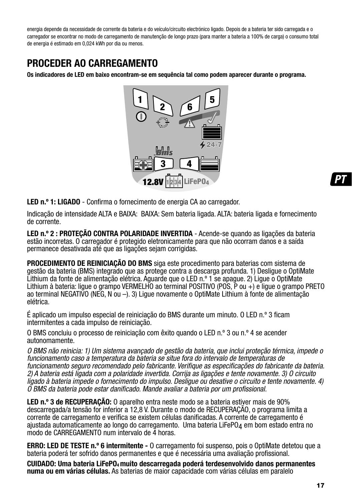energia depende da necessidade de corrente da bateria e do veículo/circuito electrónico ligado. Depois de a bateria ter sido carregada e o carregador se encontrar no modo de carregamento de manutenção de longo prazo (para manter a bateria a 100% de carga) o consumo total de energia é estimado em 0,024 kWh por dia ou menos.

# **PROCEDER AO CARREGAMENTO**

**Os indicadores de LED em baixo encontram-se em sequência tal como podem aparecer durante o programa.** 



**LED n.º 1: LIGADO** - Confirma o fornecimento de energia CA ao carregador.

Indicação de intensidade ALTA e BAIXA: BAIXA: Sem bateria ligada. ALTA: bateria ligada e fornecimento de corrente.

**LED n.º 2 : PROTEÇÃO CONTRA POLARIDADE INVERTIDA** - Acende-se quando as ligações da bateria estão incorretas. O carregador é protegido eletronicamente para que não ocorram danos e a saída permanece desativada até que as ligações sejam corrigidas.

**PROCEDIMENTO DE REINICIAÇÃO DO BMS** siga este procedimento para baterias com sistema de gestão da bateria (BMS) integrado que as protege contra a descarga profunda. 1) Desligue o OptiMate Lithium da fonte de alimentação elétrica. Aguarde que o LED n.º 1 se apague. 2) Ligue o OptiMate Lithium à bateria: ligue o grampo VERMELHO ao terminal POSITIVO (POS, P ou +) e ligue o grampo PRETO ao terminal NEGATIVO (NEG, N ou –). 3) Ligue novamente o OptiMate Lithium à fonte de alimentação elétrica.

É aplicado um impulso especial de reiniciação do BMS durante um minuto. O LED n.º 3 ficam intermitentes a cada impulso de reiniciação.

O BMS concluiu o processo de reiniciação com êxito quando o LED n.º 3 ou n.º 4 se acender autonomamente.

O BMS não reinicia: 1) Um sistema avançado de gestão da bateria, que inclui proteção térmica, impede o funcionamento caso a temperatura da bateria se situe fora do intervalo de temperaturas de funcionamento seguro recomendado pelo fabricante. Verifique as especificações do fabricante da bateria. 2) A bateria está ligada com a polaridade invertida. Corrija as ligações e tente novamente. 3) O circuito ligado à bateria impede o fornecimento do impulso. Desligue ou desative o circuito e tente novamente. 4)  $\overline{0}$  BMS da bateria pode estar danificado. Mande avaliar a bateria por um profissional.

**LED n.º 3 de RECUPERAÇÃO:** O aparelho entra neste modo se a bateria estiver mais de 90% descarregada/a tensão for inferior a 12,8 V. Durante o modo de RECUPERAÇÃO, o programa limita a corrente de carregamento e verifica se existem células danificadas. A corrente de carregamento é ajustada automaticamente ao longo do carregamento. Uma bateria LiFePO $_4$  em bom estado entra no modo de CARREGAMENTO num intervalo de 4 horas.

**ERRO: LED DE TESTE n.º 6 intermitente -** O carregamento foi suspenso, pois o OptiMate detetou que a bateria poderá ter sofrido danos permanentes e que é necessária uma avaliação profissional.

**CUIDADO: Uma bateria LiFePO4muito descarregada poderá terdesenvolvido danos permanentes numa ou em várias células.** As baterias de maior capacidade com várias células em paralelo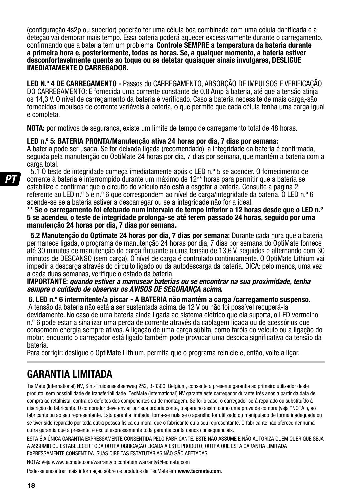(confi guração 4s2p ou superior) poderão ter uma célula boa combinada com uma célula danifi cada e a deteção vai demorar mais tempo**.** Essa bateria poderá aquecer excessivamente durante o carregamento, confi rmando que a bateria tem um problema. **Controle SEMPRE a temperatura da bateria durante a primeira hora e, posteriormente, todas as horas. Se, a qualquer momento, a bateria estiver desconfortavelmente quente ao toque ou se detetar quaisquer sinais invulgares, DESLIGUE IMEDIATAMENTE O CARREGADOR.** 

**LED N.º 4 DE CARREGAMENTO** - Passos do CARREGAMENTO, ABSORÇÃO DE IMPULSOS E VERIFICAÇÃO DO CARREGAMENTO: É fornecida uma corrente constante de 0,8 Amp à bateria, até que a tensão atinja os 14,3 V. O nível de carregamento da bateria é verificado. Caso a bateria necessite de mais carga, são fornecidos impulsos de corrente variáveis à bateria, o que permite que cada célula tenha uma carga igual e completa.

**NOTA:** por motivos de segurança, existe um limite de tempo de carregamento total de 48 horas.

#### **LED n.º 5: BATERIA PRONTA/Manutenção ativa 24 horas por dia, 7 dias por semana:**

A bateria pode ser usada. Se for deixada ligada (recomendado), a integridade da bateria é confirmada, seguida pela manutenção do OptiMate 24 horas por dia, 7 dias por semana, que mantém a bateria com a carga total.

 5.1 O teste de integridade começa imediatamente após o LED n.º 5 se acender. O fornecimento de corrente à bateria é interrompido durante um máximo de 12\*\* horas para permitir que a bateria se estabilize e confirmar que o circuito do veículo não está a esgotar a bateria. Consulte a página 2 referente ao LED n.º 5 e n.º 6 que correspondem ao nível de carga/integridade da bateria. O LED n.º 6 acende-se se a bateria estiver a descarregar ou se a integridade não for a ideal.

**\*\* Se o carregamento foi efetuado num intervalo de tempo inferior a 12 horas desde que o LED n.º 5 se acendeu, o teste de integridade prolonga-se até terem passado 24 horas, seguido por uma manutenção 24 horas por dia, 7 dias por semana.** 

 **5.2 Manutenção do Optimate 24 horas por dia, 7 dias por semana:** Durante cada hora que a bateria permanece ligada, o programa de manutenção 24 horas por dia, 7 dias por semana do OptiMate fornece até 30 minutos de manutenção de carga fl utuante a uma tensão de 13,6 V, seguidos e alternando com 30 minutos de DESCANSO (sem carga). O nível de carga é controlado continuamente. O OptiMate Lithium vai impedir a descarga através do circuito ligado ou da autodescarga da bateria. DICA: pelo menos, uma vez a cada duas semanas, verifique o estado da bateria.

#### **IMPORTANTE:** quando estiver a manusear baterias ou se encontrar na sua proximidade, tenha sempre o cuidado de observar os AVISOS DE SEGURANÇA acima**.**

#### **6. LED n.º 6 intermitente/a piscar - A BATERIA não mantém a carga /carregamento suspenso.**

 A tensão da bateria não está a ser sustentada acima de 12 V ou não foi possível recuperá-la devidamente. No caso de uma bateria ainda ligada ao sistema elétrico que ela suporta, o LED vermelho n.º 6 pode estar a sinalizar uma perda de corrente através da cablagem ligada ou de acessórios que consomem energia sempre ativos. A ligação de uma carga súbita, como faróis do veículo ou a ligação do motor, enquanto o carregador está ligado também pode provocar uma descida signifi cativa da tensão da bateria.

Para corrigir: desligue o OptiMate Lithium, permita que o programa reinicie e, então, volte a ligar.

### **GARANTIA LIMITADA**

TecMate (International) NV, Sint-Truidensesteenweg 252, B-3300, Belgium, consente a presente garantia ao primeiro utilizador deste produto, sem possibilidade de transferibilidade. TecMate (International) NV garante este carregador durante três anos a partir da data de compra ao retalhista, contra os defeitos dos componentes ou de montagem. Se for o caso, o carregador será reparado ou substituído à discrição do fabricante. O comprador deve enviar por sua própria conta, o aparelho assim como uma prova de compra (veja "NOTA"), ao fabricante ou ao seu representante. Esta garantia limitada, torna-se nula se o aparelho for utilizado ou manipulado de forma inadequada ou se tiver sido reparado por toda outra pessoa física ou moral que o fabricante ou o seu representante. O fabricante não oferece nenhuma outra garantia que a presente, e excluí expressamente toda garantia conta danos consequenciais.

ESTA É A ÚNICA GARANTIA EXPRESSAMENTE CONSENTIDA PELO FABRICANTE. ESTE NÃO ASSUME E NÃO AUTORIZA QUEM QUER QUE SEJA A ASSUMIR OU ESTABELECER TODA OUTRA OBRIGAÇÃO LIGADA A ESTE PRODUTO, OUTRA QUE ESTA GARANTIA LIMITADA EXPRESSAMENTE CONSENTIDA. SUAS DIREITAS ESTATUTÁRIAS NÃO SÃO AFETADAS.

NOTA: Veja www.tecmate.com/warranty o contatem warranty@tecmate.com

Pode-se encontrar mais informação sobre os produtos de TecMate em **www.tecmate.com**.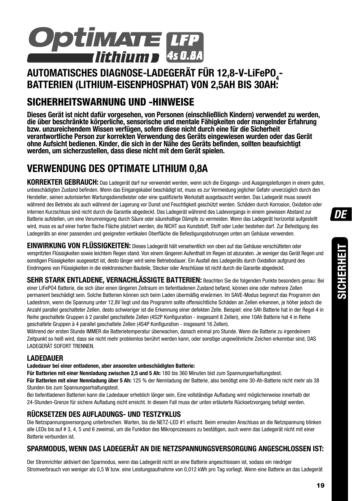

### AUTOMATISCHES DIAGNOSE-LADEGERAT FÜR 12,8-V-LiFePO<sub>4</sub>-<br>RATTERIEN (1971)ULLE FIORIALISORILLE VON 8 7311 RIS SOALI<sup>4</sup> **BATTERIEN (LITHIUM-EISENPHOSPHAT) VON 2,5AH BIS 30AH:**

## **SICHERHEITSWARNUNG UND -HINWEISE**

**Dieses Gerät ist nicht dafür vorgesehen, von Personen (einschließlich Kindern) verwendet zu werden, die über beschränkte körperliche, sensorische und mentale Fähigkeiten oder mangelnder Erfahrung bzw. unzureichendem Wissen verfügen, sofern diese nicht durch eine für die Sicherheit verantwortliche Person zur korrekten Verwendung des Geräts eingewiesen wurden oder das Gerät ohne Aufsicht bedienen. Kinder, die sich in der Nähe des Geräts befinden, sollten beaufsichtigt werden, um sicherzustellen, dass diese nicht mit dem Gerät spielen.**

# **VERWENDUNG DES OPTIMATE LITHIUM 0,8A**

**KORREKTER GEBRAUCH:** Das Ladegerät darf nur verwendet werden, wenn sich die Eingangs- und Ausgangsleitungen in einem guten, unbeschädigten Zustand befinden. Wenn das Eingangskabel beschädigt ist, muss es zur Vermeidung jeglicher Gefahr unverzüglich durch den Hersteller, seinen autorisierten Wartungsdienstleister oder eine qualifizierte Werkstatt ausgetauscht werden. Das Ladegerät muss sowohl während des Betriebs als auch während der Lagerung vor Dunst und Feuchtigkeit geschützt werden. Schäden durch Korrosion, Oxidation oder internen Kurzschluss sind nicht durch die Garantie abgedeckt. Das Ladegerät während des Ladevorgangs in einem gewissen Abstand zur Batterie aufstellen, um eine Verunreinigung durch Säure oder säurehaltige Dämpfe zu vermeiden. Wenn das Ladegerät horizontal aufgestellt wird, muss es auf einer harten flache Fläche platziert werden, die NICHT aus Kunststoff, Stoff oder Leder bestehen darf. Zur Befestigung des Ladegeräts an einer passenden und geeigneten vertikalen Oberfläche die Befestigungsbohrungen unten am Gehäuse verwenden.

**EINWIRKUNG VON FLÜSSIGKEITEN:** Dieses Ladegerät hält versehentlich von oben auf das Gehäuse verschütteten oder verspritzten Flüssigkeiten sowie leichtem Regen stand. Von einem längeren Aufenthalt im Regen ist abzuraten. Je weniger das Gerät Regen und sonstigen Flüssigkeiten ausgesetzt ist, desto länger wird seine Betriebsdauer. Ein Ausfall des Ladegeräts durch Oxidation aufgrund des Eindringens von Flüssigkeiten in die elektronischen Bauteile, Stecker oder Anschlüsse ist nicht durch die Garantie abgedeckt.

**SEHR STARK ENTLADENE, VERNACHLÄSSIGTE BATTERIEN:** Beachten Sie die folgenden Punkte besonders genau: Bei einer LiFePO4 Batterie, die sich über einen längeren Zeitraum im tiefentladenen Zustand befand, können eine oder mehrere Zellen permanent beschädigt sein. Solche Batterien können sich beim Laden übermäßig erwärmen. Im SAVE-Modus begrenzt das Programm den Ladestrom, wenn die Spannung unter 12,8V liegt und das Programm sollte offensichtliche Schäden an Zellen erkennen, je höher jedoch die Anzahl parallel geschalteter Zellen, desto schwieriger ist die Erkennung einer defekten Zelle. Beispiel: eine 5Ah Batterie hat in der Regel 4 in Reihe geschaltete Gruppen à 2 parallel geschaltete Zellen (4S2P Konfiguration - insgesamt 8 Zellen), eine 10Ah Batterie hat 4 in Reihe geschaltete Gruppen à 4 parallel geschaltete Zellen (4S4P Konfiguration - insgesamt 16 Zellen).

Während der ersten Stunde IMMER die Batterietemperatur überwachen, danach einmal pro Stunde. Wenn die Batterie zu irgendeinem Zeitpunkt so heiß wird, dass sie nicht mehr problemlos berührt werden kann, oder sonstige ungewöhnliche Zeichen erkennbar sind, DAS LADEGERÄT SOFORT TRENNEN.

### **LADEDAUER**

**Ladedauer bei einer entladenen, aber ansonsten unbeschädigten Batterie:**

**Für Batterien mit einer Nennladung zwischen 2,5 und 5 Ah:** 180 bis 360 Minuten bist zum Spannungserhaltungstest.

**Für Batterien mit einer Nennladung über 5 Ah:** 125 % der Nennladung der Batterie, also benötigt eine 30-Ah-Batterie nicht mehr als 38 Stunden bis zum Spannungserhaltungstest.

Bei tiefentladenen Batterien kann die Ladedauer erheblich länger sein, Eine vollständige Aufladung wird möglicherweise innerhalb der 24-Stunden-Grenze für sichere Aufladung nicht erreicht. In diesem Fall muss der unten erläuterte Rücksetzvorgang befolgt werden.

### **RÜCKSETZEN DES AUFLADUNGS- UND TESTZYKLUS**

Die Netzspannungsversorgung unterbrechen. Warten, bis die NETZ-LED #1 erlischt. Beim erneuten Anschluss an die Netzspannung blinken alle LEDs bis auf # 3, 4, 5 und 6 zweimal, um die Funktion des Mikroprozessors zu bestätigen, auch wenn das Ladegerät nicht mit einer Batterie verbunden ist.

### **SPARMODUS, WENN DAS LADEGERÄT AN DIE NETZSPANNUNGSVERSORGUNG ANGESCHLOSSEN IST:**

Der Stromrichter aktiviert den Sparmodus, wenn das Ladegerät nicht an eine Batterie angeschlossen ist, sodass ein niedriger Stromverbrauch von weniger als 0,5 W bzw. eine Leistungsaufnahme von 0,012 kWh pro Tag vorliegt. Wenn eine Batterie an das Ladegerät **SICHERHEIT SICHERHEIT**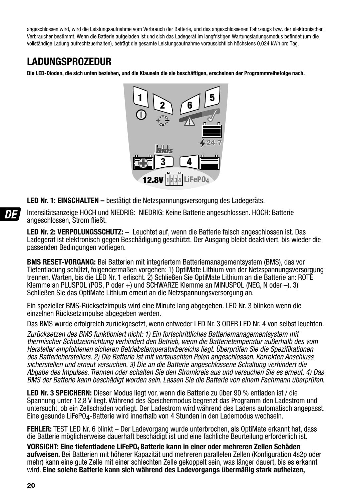angeschlossen wird, wird die Leistungsaufnahme vom Verbrauch der Batterie, und des angeschlossenen Fahrzeugs bzw. der elektronischen Verbraucher bestimmt. Wenn die Batterie aufgeladen ist und sich das Ladegerät im langfristigen Wartungsladungsmodus befindet (um die vollständige Ladung aufrechtzuerhalten), beträgt die gesamte Leistungsaufnahme voraussichtlich höchstens 0,024 kWh pro Tag.

# **LADUNGSPROZEDUR**

**Die LED-Dioden, die sich unten beziehen, und die Klauseln die sie beschäftigen, erscheinen der Programmreihefolge nach.** 



**LED Nr. 1: EINSCHALTEN –** bestätigt die Netzspannungsversorgung des Ladegeräts.

Intensitätsanzeige HOCH und NIEDRIG: NIEDRIG: Keine Batterie angeschlossen. HOCH: Batterie angeschlossen, Strom fließt.

**LED Nr. 2: VERPOLUNGSSCHUTZ: –** Leuchtet auf, wenn die Batterie falsch angeschlossen ist. Das Ladegerät ist elektronisch gegen Beschädigung geschützt. Der Ausgang bleibt deaktiviert, bis wieder die passenden Bedingungen vorliegen.

**BMS RESET-VORGANG:** Bei Batterien mit integriertem Batteriemanagementsystem (BMS), das vor Tiefentladung schützt, folgendermaßen vorgehen: 1) OptiMate Lithium von der Netzspannungsversorgung trennen. Warten, bis die LED Nr. 1 erlischt. 2) Schließen Sie OptiMate Lithium an die Batterie an: ROTE Klemme an PLUSPOL (POS, P oder +) und SCHWARZE Klemme an MINUSPOL (NEG, N oder –). 3) Schließen Sie das OptiMate Lithium erneut an die Netzspannungsversorgung an.

Ein spezieller BMS-Rücksetzimpuls wird eine Minute lang abgegeben. LED Nr. 3 blinken wenn die einzelnen Rücksetzimpulse abgegeben werden.

Das BMS wurde erfolgreich zurückgesetzt, wenn entweder LED Nr. 3 ODER LED Nr. 4 von selbst leuchten.

Zurücksetzen des BMS funktioniert nicht: 1) Ein fortschrittliches Batteriemanagementsystem mit thermischer Schutzeinrichtung verhindert den Betrieb, wenn die Batterietemperatur außerhalb des vom Hersteller empfohlenen sicheren Betriebstemperaturbereichs liegt. Überprüfen Sie die Spezifi kationen des Batterieherstellers. 2) Die Batterie ist mit vertauschten Polen angeschlossen. Korrekten Anschluss sicherstellen und erneut versuchen. 3) Die an die Batterie angeschlossene Schaltung verhindert die Abgabe des Impulses. Trennen oder schalten Sie den Stromkreis aus und versuchen Sie es erneut. 4) Das BMS der Batterie kann beschädigt worden sein. Lassen Sie die Batterie von einem Fachmann überprüfen.

**LED Nr. 3 SPEICHERN:** Dieser Modus liegt vor, wenn die Batterie zu über 90 % entladen ist / die Spannung unter 12,8 V liegt. Während des Speichermodus begrenzt das Programm den Ladestrom und untersucht, ob ein Zellschaden vorliegt. Der Ladestrom wird während des Ladens automatisch angepasst. Eine gesunde LiFePO4-Batterie wird innerhalb von 4 Stunden in den Lademodus wechseln.

**FEHLER:** TEST LED Nr. 6 blinkt – Der Ladevorgang wurde unterbrochen, als OptiMate erkannt hat, dass die Batterie möglicherweise dauerhaft beschädigt ist und eine fachliche Beurteilung erforderlich ist.

**VORSICHT: Eine tiefentladene LiFePO4 Batterie kann in einer oder mehreren Zellen Schäden aufweisen.** Bei Batterien mit höherer Kapazität und mehreren parallelen Zellen (Konfiguration 4s2p oder mehr) kann eine gute Zelle mit einer schlechten Zelle gekoppelt sein, was länger dauert, bis es erkannt wird. **Eine solche Batterie kann sich während des Ladevorgangs übermäßig stark aufheizen,**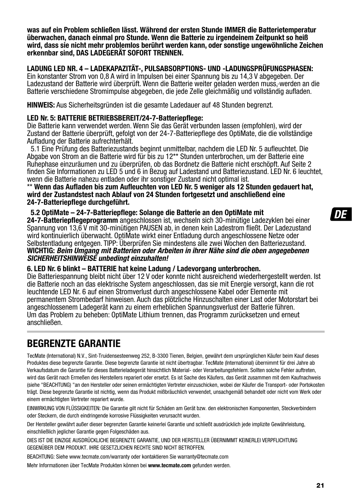**was auf ein Problem schließen lässt. Während der ersten Stunde IMMER die Batterietemperatur überwachen, danach einmal pro Stunde. Wenn die Batterie zu irgendeinem Zeitpunkt so heiß wird, dass sie nicht mehr problemlos berührt werden kann, oder sonstige ungewöhnliche Zeichen erkennbar sind, DAS LADEGERÄT SOFORT TRENNEN.** 

### **LADUNG LED NR. 4 – LADEKAPAZITÄT-, PULSABSORPTIONS- UND -LADUNGSPRÜFUNGSPHASEN:**

Ein konstanter Strom von 0,8 A wird in Impulsen bei einer Spannung bis zu 14,3 V abgegeben. Der Ladezustand der Batterie wird überprüft. Wenn die Batterie weiter geladen werden muss, werden an die Batterie verschiedene Stromimpulse abgegeben, die jede Zelle gleichmäßig und vollständig aufladen.

**HINWEIS:** Aus Sicherheitsgründen ist die gesamte Ladedauer auf 48 Stunden begrenzt.

### **LED Nr. 5: BATTERIE BETRIEBSBEREIT/24-7-Batteriepflege:**

Die Batterie kann verwendet werden. Wenn Sie das Gerät verbunden lassen (empfohlen), wird der Zustand der Batterie überprüft, gefolgt von der 24-7-Batteriepflege des OptiMate, die die vollständige Aufl adung der Batterie aufrechterhält.

5.1 Eine Prüfung des Batteriezustands beginnt unmittelbar, nachdem die LED Nr. 5 aufleuchtet. Die Abgabe von Strom an die Batterie wird für bis zu 12\*\* Stunden unterbrochen, um der Batterie eine Ruhephase einzuräumen und zu überprüfen, ob das Bordnetz die Batterie nicht erschöpft. Auf Seite 2 finden Sie Informationen zu LED 5 und 6 in Bezug auf Ladestand und Batteriezustand. LED Nr. 6 leuchtet, wenn die Batterie nahezu entladen oder ihr sonstiger Zustand nicht optimal ist.

#### \*\* Wenn das Aufladen bis zum Aufleuchten von LED Nr. 5 weniger als 12 Stunden gedauert hat, **wird der Zustandstest nach Ablauf von 24 Stunden fortgesetzt und anschließend eine**  24-7-Batteriepflege durchgeführt.

### **5.2 OptiMate – 24-7-Batteriepflege: Solange die Batterie an den OptiMate mit**

**24-7-Batteriepfl egeprogramm** angeschlossen ist, wechseln sich 30-minütige Ladezyklen bei einer Spannung von 13,6 V mit 30-minütigen PAUSEN ab. in denen kein Ladestrom fließt. Der Ladezustand wird kontinuierlich überwacht. OptiMate wirkt einer Entladung durch angeschlossene Netze oder Selbstentladung entgegen. TIPP: Überprüfen Sie mindestens alle zwei Wochen den Batteriezustand. **WICHTIG:** Beim Umgang mit Batterien oder Arbeiten in ihrer Nähe sind die oben angegebenen SICHERHEITSHINWEISE unbedingt einzuhalten!

### **6. LED Nr. 6 blinkt – BATTERIE hat keine Ladung / Ladevorgang unterbrochen.**

Die Batteriespannung bleibt nicht über 12 V oder konnte nicht ausreichend wiederhergestellt werden. Ist die Batterie noch an das elektrische System angeschlossen, das sie mit Energie versorgt, kann die rot leuchtende LED Nr. 6 auf einen Stromverlust durch angeschlossene Kabel oder Elemente mit permanentem Strombedarf hinweisen. Auch das plötzliche Hinzuschalten einer Last oder Motorstart bei angeschlossenem Ladegerät kann zu einem erheblichen Spannungsverlust der Batterie führen. Um das Problem zu beheben: OptiMate Lithium trennen, das Programm zurücksetzen und erneut anschließen.

# **BEGRENZTE GARANTIE**

TecMate (International) N.V., Sint-Truidensesteenweg 252, B-3300 Tienen, Belgien, gewährt dem ursprünglichen Käufer beim Kauf dieses Produktes diese begrenzte Garantie. Diese begrenzte Garantie ist nicht übertragbar. TecMate (International) übernimmt für drei Jahre ab Verkaufsdatum die Garantie für dieses Batterieladegerät hinsichtlich Material- oder Verarbeitungsfehlern. Sollten solche Fehler auftreten, wird das Gerät nach Ermeßen des Herstellers repariert oder ersetzt. Es ist Sache des Käufers, das Gerät zusammen mit dem Kaufnachweis (siehe "BEACHTUNG) "an den Hersteller oder seinen ermächtigten Vertreter einzuschicken, wobei der Käufer die Transport- oder Portokosten trägt. Diese begrenzte Garantie ist nichtig, wenn das Produkt mißbräuchlich verwendet, unsachgemäß behandelt oder nicht vom Werk oder einem ermächtigten Vertreter repariert wurde.

EINWIRKUNG VON FLÜSSIGKEITEN: Die Garantie gilt nicht für Schäden am Gerät bzw. den elektronischen Komponenten, Steckverbindern oder Steckern, die durch eindringende korrosive Flüssigkeiten verursacht wurden.

Der Hersteller gewährt außer dieser begrenzten Garantie keinerlei Garantie und schließt ausdrücklich jede implizite Gewährleistung, einschließlich jeglicher Garantie gegen Folgeschäden aus.

DIES IST DIE EINZIGE AUSDRÜCKLICHE BEGRENZTE GARANTIE, UND DER HERSTELLER ÜBERNIMMT KEINERLEI VERPFLICHTUNG GEGENÜBER DEM PRODUKT. IHRE GESETZLICHEN RECHTE SIND NICHT BETROFFEN.

BEACHTUNG: Siehe www.tecmate.com/warranty oder kontaktieren Sie warranty@tecmate.com

Mehr Informationen über TecMate Produkten können bei **www.tecmate.com** gefunden werden.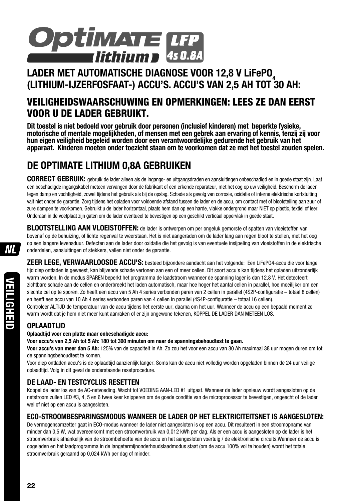

### LADER MET AUTOMATISCHE DIAGNOSE VOOR 12,8 V LiFePO, **(LITHIUM-IJZERFOSFAAT-) ACCU'S. ACCU'S VAN 2,5 AH TOT 30 AH:**

### **VEILIGHEIDSWAARSCHUWING EN OPMERKINGEN: LEES ZE DAN EERST VOOR U DE LADER GEBRUIKT.**

**Dit toestel is niet bedoeld voor gebruik door personen (inclusief kinderen) met beperkte fysieke, motorische of mentale mogelijkheden, of mensen met een gebrek aan ervaring of kennis, tenzij zij voor hun eigen veiligheid begeleid worden door een verantwoordelijke gedurende het gebruik van het apparaat. Kinderen moeten onder toezicht staan om te voorkomen dat ze met het toestel zouden spelen.** 

# **DE OPTIMATE LITHIUM 0,8A GEBRUIKEN**

**CORRECT GEBRUIK:** gebruik de lader alleen als de ingangs- en uitgangsdraden en aansluitingen onbeschadigd en in goede staat zijn. Laat een beschadigde ingangskabel meteen vervangen door de fabrikant of een erkende reparateur, met het oog op uw veiligheid. Bescherm de lader tegen damp en vochtigheid, zowel tijdens het gebruik als bij de opslag. Schade als gevolg van corrosie, oxidatie of interne elektrische kortstuiting valt niet onder de garantie. Zorg tijdens het opladen voor voldoende afstand tussen de lader en de accu, om contact met of blootstelling aan zuur of zure dampen te voorkomen. Gebruikt u de lader horizontaal, plaats hem dan op een harde, vlakke ondergrond maar NIET op plastic, textiel of leer. Onderaan in de voetplaat zijn gaten om de lader eventueel te bevestigen op een geschikt verticaal oppervlak in goede staat.

**BLOOTSTELLING AAN VLOEISTOFFEN:** de lader is ontworpen om per ongeluk gemorste of spatten van vloeistoffen van bovenaf op de behuizing, of lichte regenval te weerstaan. Het is niet aangeraden om de lader lang aan regen bloot te stellen, met het oog op een langere levensduur. Defecten aan de lader door oxidatie die het gevolg is van eventuele insijpeling van vloeistoffen in de elektrische onderdelen, aansluitingen of stekkers, vallen niet onder de garantie.

**ZEER LEGE, VERWAARLOOSDE ACCU'S:** besteed bijzondere aandacht aan het volgende: Een LiFePO4-accu die voor lange tijd diep ontladen is geweest, kan blijvende schade vertonen aan een of meer cellen. Dit soort accu's kan tijdens het opladen uitzonderlijk warm worden. In de modus SPAREN beperkt het programma de laadstroom wanneer de spanning lager is dan 12,8 V. Het detecteert zichtbare schade aan de cellen en onderbreekt het laden automatisch, maar hoe hoger het aantal cellen in parallel, hoe moeilijker om een slechte cel op te sporen. Zo heeft een accu van 5 Ah 4 series verbonden paren van 2 cellen in parallel (4S2P-configuratie – totaal 8 cellen) en heeft een accu van 10 Ah 4 series verbonden paren van 4 cellen in parallel (4S4P-configuratie – totaal 16 cellen). Controleer ALTIJD de temperatuur van de accu tijdens het eerste uur, daarna om het uur. Wanneer de accu op een bepaald moment zo warm wordt dat je hem niet meer kunt aanraken of er zijn ongewone tekenen, KOPPEL DE LADER DAN METEEN LOS.

### **OPLAADTIJD**

#### **Oplaadtijd voor een platte maar onbeschadigde accu:**

**Voor accu's van 2,5 Ah tot 5 Ah: 180 tot 360 minuten om naar de spanningsbehoudtest te gaan.** 

**Voor accu's van meer dan 5 Ah:** 125% van de capaciteit in Ah. Zo zou het voor een accu van 30 Ah maximaal 38 uur mogen duren om tot de spanningsbehoudtest te komen.

Voor diep ontladen accu's is de oplaadtijd aanzienlijk langer. Soms kan de accu niet volledig worden opgeladen binnen de 24 uur veilige oplaadtijd. Volg in dit geval de onderstaande resetprocedure.

### **DE LAAD- EN TESTCYCLUS RESETTEN**

Koppel de lader los van de AC-netvoeding. Wacht tot VOEDING AAN-LED #1 uitgaat. Wanneer de lader opnieuw wordt aangesloten op de netstroom zullen LED #3, 4, 5 en 6 twee keer knipperen om de goede conditie van de microprocessor te bevestigen, ongeacht of de lader wel of niet op een accu is aangesloten.

#### **ECO-STROOMBESPARINGSMODUS WANNEER DE LADER OP HET ELEKTRICITEITSNET IS AANGESLOTEN:**

De vermogensomzetter gaat in ECO-modus wanneer de lader niet aangesloten is op een accu. Dit resulteert in een stroomopname van minder dan 0,5 W, wat overeenkomt met een stroomverbruik van 0,012 kWh per dag. Als er een accu is aangesloten op de lader is het stroomverbruik afhankelijk van de stroombehoefte van de accu en het aangesloten voertuig / de elektronische circuits.Wanneer de accu is opgeladen en het laadprogramma in de langetermijnonderhoudslaadmodus staat (om de accu 100% vol te houden) wordt het totale stroomverbruik geraamd op 0,024 kWh per dag of minder.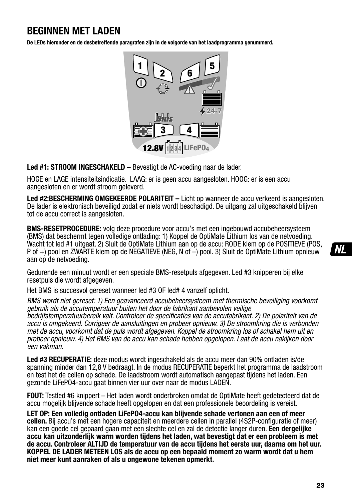# **BEGINNEN MET LADEN**

**De LEDs hieronder en de desbetreffende paragrafen zijn in de volgorde van het laadprogramma genummerd.** 



**Led #1: STROOM INGESCHAKELD** – Bevestigt de AC-voeding naar de lader.

HOGE en LAGE intensiteitsindicatie. LAAG: er is geen accu aangesloten. HOOG: er is een accu aangesloten en er wordt stroom geleverd.

**Led #2:BESCHERMING OMGEKEERDE POLARITEIT –** Licht op wanneer de accu verkeerd is aangesloten. De lader is elektronisch beveiligd zodat er niets wordt beschadigd. De uitgang zal uitgeschakeld blijven tot de accu correct is aangesloten.

**BMS-RESETPROCEDURE:** volg deze procedure voor accu's met een ingebouwd accubeheersysteem (BMS) dat beschermt tegen volledige ontlading: 1) Koppel de OptiMate Lithium los van de netvoeding. Wacht tot led #1 uitgaat. 2) Sluit de OptiMate Lithium aan op de accu: RODE klem op de POSITIEVE (POS, P of +) pool en ZWARTE klem op de NEGATIEVE (NEG, N of –) pool. 3) Sluit de OptiMate Lithium opnieuw aan op de netvoeding.

Gedurende een minuut wordt er een speciale BMS-resetpuls afgegeven. Led #3 knipperen bij elke resetpuls die wordt afgegeven.

Het BMS is succesvol gereset wanneer led #3 OF led# 4 vanzelf oplicht.

BMS wordt niet gereset: 1) Een geavanceerd accubeheersysteem met thermische beveiliging voorkomt gebruik als de accutemperatuur buiten het door de fabrikant aanbevolen veilige bedrijfstemperatuurbereik valt. Controleer de specificaties van de accufabrikant. 2) De polariteit van de accu is omgekeerd. Corrigeer de aansluitingen en probeer opnieuw. 3) De stroomkring die is verbonden met de accu, voorkomt dat de puls wordt afgegeven. Koppel de stroomkring los of schakel hem uit en probeer opnieuw. 4) Het BMS van de accu kan schade hebben opgelopen. Laat de accu nakijken door een vakman.

**Led #3 RECUPERATIE:** deze modus wordt ingeschakeld als de accu meer dan 90% ontladen is/de spanning minder dan 12,8 V bedraagt. In de modus RECUPERATIE beperkt het programma de laadstroom en test het de cellen op schade. De laadstroom wordt automatisch aangepast tijdens het laden. Een gezonde LiFePO4-accu gaat binnen vier uur over naar de modus LADEN.

**FOUT:** Testled #6 knippert – Het laden wordt onderbroken omdat de OptiMate heeft gedetecteerd dat de accu mogelijk blijvende schade heeft opgelopen en dat een professionele beoordeling is vereist.

**LET OP: Een volledig ontladen LiFePO4-accu kan blijvende schade vertonen aan een of meer cellen.** Bij accu's met een hogere capaciteit en meerdere cellen in parallel (4S2P-configuratie of meer) kan een goede cel gepaard gaan met een slechte cel en zal de detectie langer duren. **Een dergelijke accu kan uitzonderlijk warm worden tijdens het laden, wat bevestigt dat er een probleem is met de accu. Controleer ALTIJD de temperatuur van de accu tijdens het eerste uur, daarna om het uur. KOPPEL DE LADER METEEN LOS als de accu op een bepaald moment zo warm wordt dat u hem niet meer kunt aanraken of als u ongewone tekenen opmerkt.**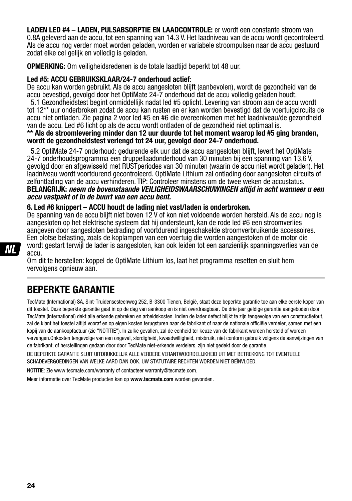**LADEN LED #4 – LADEN, PULSABSORPTIE EN LAADCONTROLE:** er wordt een constante stroom van 0.8A geleverd aan de accu, tot een spanning van 14.3 V. Het laadniveau van de accu wordt gecontroleerd. Als de accu nog verder moet worden geladen, worden er variabele stroompulsen naar de accu gestuurd zodat elke cel gelijk en volledig is geladen.

**OPMERKING:** Om veiligheidsredenen is de totale laadtijd beperkt tot 48 uur.

### **Led #5: ACCU GEBRUIKSKLAAR/24-7 onderhoud actief**:

De accu kan worden gebruikt. Als de accu aangesloten blijft (aanbevolen), wordt de gezondheid van de accu bevestigd, gevolgd door het OptiMate 24-7 onderhoud dat de accu volledig geladen houdt. 5.1 Gezondheidstest begint onmiddellijk nadat led #5 oplicht. Levering van stroom aan de accu wordt

tot 12\*\* uur onderbroken zodat de accu kan rusten en er kan worden bevestigd dat de voertuigcircuits de accu niet ontladen. Zie pagina 2 voor led #5 en #6 die overeenkomen met het laadniveau/de gezondheid van de accu. Led #6 licht op als de accu wordt ontladen of de gezondheid niet optimaal is.

#### **\*\* Als de stroomlevering minder dan 12 uur duurde tot het moment waarop led #5 ging branden, wordt de gezondheidstest verlengd tot 24 uur, gevolgd door 24-7 onderhoud.**

 5.2 OptiMate 24-7 onderhoud: gedurende elk uur dat de accu aangesloten blijft, levert het OptiMate 24-7 onderhoudsprogramma een druppellaadonderhoud van 30 minuten bij een spanning van 13,6 V, gevolgd door en afgewisseld met RUSTperiodes van 30 minuten (waarin de accu niet wordt geladen). Het laadniveau wordt voortdurend gecontroleerd. OptiMate Lithium zal ontlading door aangesloten circuits of zelfontlading van de accu verhinderen. TIP: Controleer minstens om de twee weken de accustatus. **BELANGRIJK:** neem de bovenstaande VEILIGHEIDSWAARSCHUWINGEN altijd in acht wanneer u een accu vastpakt of in de buurt van een accu bent.

### **6. Led #6 knippert – ACCU houdt de lading niet vast/laden is onderbroken.**

De spanning van de accu blijft niet boven 12 V of kon niet voldoende worden hersteld. Als de accu nog is aangesloten op het elektrische systeem dat hij ondersteunt, kan de rode led #6 een stroomverlies aangeven door aangesloten bedrading of voortdurend ingeschakelde stroomverbruikende accessoires. Een plotse belasting, zoals de koplampen van een voertuig die worden aangestoken of de motor die wordt gestart terwijl de lader is aangesloten, kan ook leiden tot een aanzienlijk spanningsverlies van de

Om dit te herstellen: koppel de OptiMate Lithium los, laat het programma resetten en sluit hem vervolgens opnieuw aan.

# **BEPERKTE GARANTIE**

TecMate (International) SA, Sint-Truidensesteenweg 252, B-3300 Tienen, België, staat deze beperkte garantie toe aan elke eerste koper van dit toestel. Deze beperkte garantie gaat in op de dag van aankoop en is niet overdraagbaar. De drie jaar geldige garantie aangeboden door TecMate (International) dekt alle erkende gebreken en arbeidskosten. Indien de lader defect blijkt te zijn tengevolge van een constructiefout, zal de klant het toestel altijd vooraf en op eigen kosten terugsturen naar de fabrikant of naar de nationale officiële verdeler, samen met een kopij van de aankoopfactuur (zie "NOTITIE"). In zulke gevallen, zal de eenheid ter keuze van de fabrikant worden hersteld of worden vervangen.Onkosten tengevolge van een ongeval, slordigheid, kwaadwilligheid, misbruik, niet conform gebruik volgens de aanwijzingen van de fabrikant, of herstellingen gedaan door door TecMate niet-erkende verdelers, zijn niet gedekt door de garantie.

DE BEPERKTE GARANTIE SLUIT UITDRUKKELIJK ALLE VERDERE VERANTWOORDELIJKHEID UIT MET BETREKKING TOT EVENTUELE SCHADEVERGOEDINGEN VAN WELKE AARD DAN OOK. UW STATUTAIRE RECHTEN WORDEN NIET BEÏNVLOED.

NOTITIE: Zie www.tecmate.com/warranty of contacteer warranty@tecmate.com.

Meer informatie over TecMate producten kan op **www.tecmate.com** worden gevonden.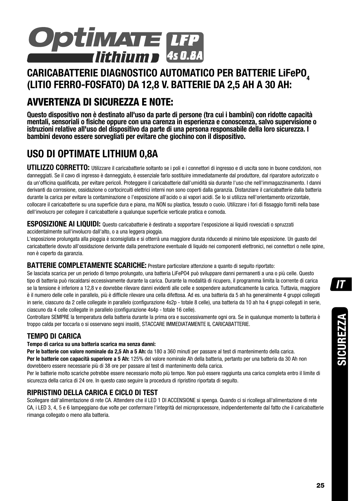

### **CARICABATTERIE DIAGNOSTICO AUTOMATICO PER BATTERIE LIFEPO. (LITIO FERRO-FOSFATO) DA 12,8 V. BATTERIE DA 2,5 AH A 30 AH:**

# **AVVERTENZA DI SICUREZZA E NOTE:**

**Questo dispositivo non è destinato all'uso da parte di persone (tra cui i bambini) con ridotte capacità mentali, sensoriali o fisiche oppure con una carenza in esperienza e conoscenza, salvo supervisione o istruzioni relative all'uso del dispositivo da parte di una persona responsabile della loro sicurezza. I bambini devono essere sorvegliati per evitare che giochino con il dispositivo.**

# **USO DI OPTIMATE LITHIUM 0,8A**

**UTILIZZO CORRETTO:** Utilizzare il caricabatterie soltanto se i poli e i connettori di ingresso e di uscita sono in buone condizioni, non danneggiati. Se il cavo di ingresso è danneggiato, è essenziale farlo sostituire immediatamente dal produttore, dal riparatore autorizzato o da un'officina qualificata, per evitare pericoli. Proteggere il caricabatterie dall'umidità sia durante l'uso che nell'immagazzinamento. I danni derivanti da corrosione, ossidazione o cortocircuiti elettrici interni non sono coperti dalla garanzia. Distanziare il caricabatterie dalla batteria durante la carica per evitare la contaminazione o l'esposizione all'acido o ai vapori acidi. Se lo si utilizza nell'orientamento orizzontale, collocare il caricabatterie su una superficie dura e piana, ma NON su plastica, tessuto o cuoio. Utilizzare i fori di fissaggio forniti nella base dell'involucro per collegare il caricabatterie a qualunque superficie verticale pratica e comoda.

**ESPOSIZIONE AI LIQUIDI:** Questo caricabatterie è destinato a sopportare l'esposizione ai liquidi rovesciati o spruzzati

accidentalmente sull'involucro dall'alto, o a una leggera pioggia.

L'esposizione prolungata alla pioggia è sconsigliata e si otterrà una maggiore durata riducendo al minimo tale esposizione. Un guasto del caricabatterie dovuto all'ossidazione derivante dalla penetrazione eventuale di liquido nei componenti elettronici, nei connettori o nelle spine, non è coperto da garanzia.

### **BATTERIE COMPLETAMENTE SCARICHE:** Prestare particolare attenzione a quanto di seguito riportato:

Se lasciata scarica per un periodo di tempo prolungato, una batteria LiFePO4 può sviluppare danni permanenti a una o più celle. Questo tipo di batteria può riscaldarsi eccessivamente durante la carica. Durante la modalità di ricupero, il programma limita la corrente di carica se la tensione è inferiore a 12,8 v e dovrebbe rilevare danni evidenti alle celle e sospendere automaticamente la carica. Tuttavia, maggiore è il numero delle celle in parallelo, più è difficile rilevare una cella difettosa. Ad es. una batteria da 5 ah ha generalmente 4 gruppi collegati in serie, ciascuno da 2 celle collegate in parallelo (configurazione 4s2p - totale 8 celle), una batteria da 10 ah ha 4 gruppi collegati in serie, ciascuno da 4 celle collegate in parallelo (configurazione 4s4p - totale 16 celle).

Controllare SEMPRE la temperatura della batteria durante la prima ora e successivamente ogni ora. Se in qualunque momento la batteria è troppo calda per toccarla o si osservano segni insoliti, STACCARE IMMEDIATAMENTE IL CARICABATTERIE.

### **TEMPO DI CARICA**

**Tempo di carica su una batteria scarica ma senza danni:**

**Per le batterie con valore nominale da 2,5 Ah a 5 Ah:** da 180 a 360 minuti per passare al test di mantenimento della carica. **Per le batterie con capacità superiore a 5 Ah:** 125% del valore nominale Ah della batteria, pertanto per una batteria da 30 Ah non dovrebbero essere necessarie più di 38 ore per passare al test di mantenimento della carica.

Per le batterie molto scariche potrebbe essere necessario molto più tempo. Non può essere raggiunta una carica completa entro il limite di sicurezza della carica di 24 ore. In questo caso seguire la procedura di ripristino riportata di seguito.

### **RIPRISTINO DELLA CARICA E CICLO DI TEST**

Scollegare dall'alimentazione di rete CA. Attendere che il LED 1 DI ACCENSIONE si spenga. Quando ci si ricollega all'alimentazione di rete CA, i LED 3, 4, 5 e 6 lampeggiano due volte per confermare l'integrità del microprocessore, indipendentemente dal fatto che il caricabatterie rimanga collegato o meno alla batteria.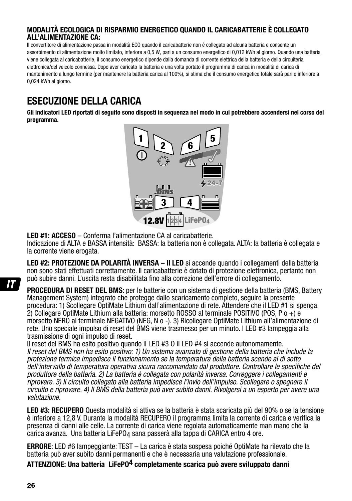### **MODALITÀ ECOLOGICA DI RISPARMIO ENERGETICO QUANDO IL CARICABATTERIE È COLLEGATO ALL'ALIMENTAZIONE CA:**

Il convertitore di alimentazione passa in modalità ECO quando il caricabatterie non è collegato ad alcuna batteria e consente un assorbimento di alimentazione molto limitato, inferiore a 0,5 W, pari a un consumo energetico di 0,012 kWh al giorno. Quando una batteria viene collegata al caricabatterie, il consumo energetico dipende dalla domanda di corrente elettrica della batteria e della circuiteria elettronica/del veicolo connessa. Dopo aver caricato la batteria e una volta portato il programma di carica in modalità di carica di mantenimento a lungo termine (per mantenere la batteria carica al 100%), si stima che il consumo energetico totale sarà pari o inferiore a  $0.024$  kWh al giorno.

# **ESECUZIONE DELLA CARICA**

**Gli indicatori LED riportati di seguito sono disposti in sequenza nel modo in cui potrebbero accendersi nel corso del programma.** 



**LED #1: ACCESO** – Conferma l'alimentazione CA al caricabatterie.

Indicazione di ALTA e BASSA intensità: BASSA: la batteria non è collegata. ALTA: la batteria è collegata e la corrente viene erogata.

**LED #2: PROTEZIONE DA POLARITÀ INVERSA – Il LED** si accende quando i collegamenti della batteria non sono stati effettuati correttamente. Il caricabatterie è dotato di protezione elettronica, pertanto non può subire danni. L'uscita resta disabilitata fino alla correzione dell'errore di collegamento.

**PROCEDURA DI RESET DEL BMS**: per le batterie con un sistema di gestione della batteria (BMS, Battery Management System) integrato che protegge dallo scaricamento completo, seguire la presente procedura: 1) Scollegare OptiMate Lithium dall'alimentazione di rete. Attendere che il LED #1 si spenga. 2) Collegare OptiMate Lithium alla batteria: morsetto ROSSO al terminale POSITIVO (POS, P o +) e morsetto NERO al terminale NEGATIVO (NEG, N o -). 3) Ricollegare OptiMate Lithium all'alimentazione di rete. Uno speciale impulso di reset del BMS viene trasmesso per un minuto. I LED #3 lampeggia alla trasmissione di ogni impulso di reset.

Il reset del BMS ha esito positivo quando il LED #3 O il LED #4 si accende autonomamente. Il reset del BMS non ha esito positivo: 1) Un sistema avanzato di gestione della batteria che include la protezione termica impedisce il funzionamento se la temperatura della batteria scende al di sotto dell'intervallo di temperatura operativa sicura raccomandato dal produttore. Controllare le specifiche del produttore della batteria. 2) La batteria è collegata con polarità inversa. Correggere i collegamenti e riprovare. 3) Il circuito collegato alla batteria impedisce l'invio dell'impulso. Scollegare o spegnere il circuito e riprovare. 4) Il BMS della batteria può aver subito danni. Rivolgersi a un esperto per avere una valutazione.

**LED #3: RECUPERO** Questa modalità si attiva se la batteria è stata scaricata più del 90% o se la tensione è inferiore a 12.8 V. Durante la modalità RECUPERO il programma limita la corrente di carica e verifica la presenza di danni alle celle. La corrente di carica viene regolata automaticamente man mano che la  $c$ arica avanza. Una batteria LiFePO $_A$  sana passerà alla tappa di CARICA entro 4 ore.

**ERRORE**: LED #6 lampeggiante: TEST – La carica è stata sospesa poiché OptiMate ha rilevato che la batteria può aver subito danni permanenti e che è necessaria una valutazione professionale.

**ATTENZIONE: Una batteria LiFePO4 completamente scarica può avere sviluppato danni** 

lΤ

**26**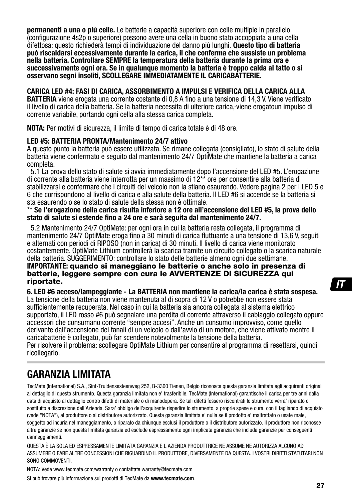**permanenti a una o più celle.** Le batterie a capacità superiore con celle multiple in parallelo (confi gurazione 4s2p o superiore) possono avere una cella in buono stato accoppiata a una cella difettosa: questo richiederà tempi di individuazione del danno più lunghi. **Questo tipo di batteria può riscaldarsi eccessivamente durante la carica, il che conferma che sussiste un problema nella batteria. Controllare SEMPRE la temperatura della batteria durante la prima ora e successivamente ogni ora. Se in qualunque momento la batteria è troppo calda al tatto o si osservano segni insoliti, SCOLLEGARE IMMEDIATAMENTE IL CARICABATTERIE.** 

### **CARICA LED #4: FASI DI CARICA, ASSORBIMENTO A IMPULSI E VERIFICA DELLA CARICA ALLA**

**BATTERIA** viene erogata una corrente costante di 0,8 A fino a una tensione di 14,3 V. Viene verificato il livello di carica della batteria. Se la batteria necessita di ulteriore carica, viene erogatoun impulso di corrente variabile, portando ogni cella alla stessa carica completa.

**NOTA:** Per motivi di sicurezza, il limite di tempo di carica totale è di 48 ore.

### **LED #5: BATTERIA PRONTA/Mantenimento 24/7 attivo**

A questo punto la batteria può essere utilizzata. Se rimane collegata (consigliato), lo stato di salute della batteria viene confermato e seguito dal mantenimento 24/7 OptiMate che mantiene la batteria a carica completa.

 5.1 La prova dello stato di salute si avvia immediatamente dopo l'accensione del LED #5. L'erogazione di corrente alla batteria viene interrotta per un massimo di 12\*\* ore per consentire alla batteria di stabilizzarsi e confermare che i circuiti del veicolo non la stiano esaurendo. Vedere pagina 2 per i LED 5 e 6 che corrispondono al livello di carica e alla salute della batteria. Il LED #6 si accende se la batteria si sta esaurendo o se lo stato di salute della stessa non è ottimale.

#### \*\* **Se l'erogazione della carica risulta inferiore a 12 ore all'accensione del LED #5, la prova dello**  stato di salute si estende fino a 24 ore e sarà seguita dal mantenimento 24/7.

 5.2 Mantenimento 24/7 OptiMate: per ogni ora in cui la batteria resta collegata, il programma di mantenimento 24/7 OptiMate eroga fino a 30 minuti di carica fluttuante a una tensione di 13.6 V, seguiti e alternati con periodi di RIPOSO (non in carica) di 30 minuti. Il livello di carica viene monitorato costantemente. OptiMate Lithium controllerà la scarica tramite un circuito collegato o la scarica naturale della batteria. SUGGERIMENTO: controllare lo stato delle batterie almeno ogni due settimane.

#### **IMPORTANTE: quando si maneggiano le batterie o anche solo in presenza di batterie, leggere sempre con cura le AVVERTENZE DI SICUREZZA qui riportate.**

#### **6. LED #6 acceso/lampeggiante - La BATTERIA non mantiene la carica/la carica è stata sospesa.** La tensione della batteria non viene mantenuta al di sopra di 12 V o potrebbe non essere stata sufficientemente recuperata. Nel caso in cui la batteria sia ancora collegata al sistema elettrico supportato, il LED rosso #6 può segnalare una perdita di corrente attraverso il cablaggio collegato oppure accessori che consumano corrente "sempre accesi". Anche un consumo improvviso, come quello derivante dall'accensione dei fanali di un veicolo o dall'avvio di un motore, che viene attivato mentre il caricabatterie è collegato, può far scendere notevolmente la tensione della batteria. Per risolvere il problema: scollegare OptiMate Lithium per consentire al programma di resettarsi, quindi ricollegarlo.

### **GARANZIA LIMITATA**

TecMate (International) S.A., Sint-Truidensesteenweg 252, B-3300 Tienen, Belgio riconosce questa garanzia limitata agli acquirenti originali al dettaglio di questo strumento. Questa garanzia limitata non e' trasferibile. TecMate (International) garantische il carica per tre anni dalla data di acquisto al dettaglio contro difetti di materiale o di manodopera. Se tali difetti fossero riscontrati lo strumento verra' riparato o sostituito a discrezione dell'Azienda. Sara' obbligo dell'acquirente rispedire lo strumento, a proprie spese e cura, con il tagliando di acquisto (vede "NOTA"), al produttore o al distributore autorizzato. Questa garanzia limitata e' nulla se il prodotto e' maltrattato o usate male, soggetto ad incuria nel maneggiamento, o riparato da chiunque esclusi il produttore o il distributore autorizzato. Il produttore non riconosse altre garanzie se non questa limitata garanzia ed esclude espressamente ogni implicata garanzia che includa garanzie per conseguenti danneggiamenti.

QUESTA È LA SOLA ED ESPRESSAMENTE LIMITATA GARANZIA E L'AZIENDA PRODUTTRICE NE ASSUME NE AUTORIZZA ALCUNO AD ASSUMERE O FARE ALTRE CONCESSIONI CHE RIGUARDINO IL PRODUTTORE, DIVERSAMENTE DA QUESTA. I VOSTRI DIRITTI STATUTARI NON SONO COMMOVENTI.

NOTA: Vede www.tecmate.com/warranty o contattate warranty@tecmate.com

Si può trovare più informazione sui prodotti di TecMate da **www.tecmate.com**.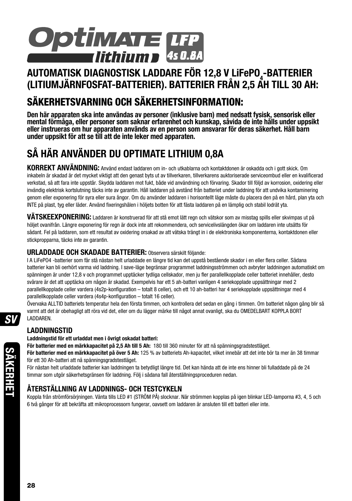

# **AUTOMATISK DIAGNOSTISK LADDARE FÖR 12,8 V LiFePO4 -BATTERIER (LITIUMJÄRNFOSFAT-BATTERIER). BATTERIER FRÅN 2,5 AH TILL 30 AH:**

# **SÄKERHETSVARNING OCH SÄKERHETSINFORMATION:**

**Den här apparaten ska inte användas av personer (inklusive barn) med nedsatt fysisk, sensorisk eller mental förmåga, eller personer som saknar erfarenhet och kunskap, såvida de inte hålls under uppsikt eller instrueras om hur apparaten används av en person som ansvarar för deras säkerhet. Håll barn under uppsikt för att se till att de inte leker med apparaten.** 

# **SÅ HÄR ANVÄNDER DU OPTIMATE LITHIUM 0,8A**

**KORREKT ANVÄNDNING:** Använd endast laddaren om in- och utkablarna och kontaktdonen är oskadda och i gott skick. Om inkabeln är skadad är det mycket viktigt att den genast byts ut av tillverkaren, tillverkarens auktoriserade serviceombud eller en kvalificerad verkstad, så att fara inte uppstår. Skydda laddaren mot fukt, både vid användning och förvaring. Skador till följd av korrosion, oxidering eller invändig elektrisk kortslutning täcks inte av garantin. Håll laddaren på avstånd från batteriet under laddning för att undvika kontaminering genom eller exponering för syra eller sura ångor. Om du använder laddaren i horisontellt läge måste du placera den på en hård, plan yta och INTE på plast, tyg eller läder. Använd fixeringshålen i höljets botten för att fästa laddaren på en lämplig och stabil lodrät yta.

**VÄTSKEEXPONERING:** Laddaren är konstruerad för att stå emot lätt regn och vätskor som av misstag spills eller skvimpas ut på höljet ovanifrån. Längre exponering för regn är dock inte att rekommendera, och servicelivslängden ökar om laddaren inte utsätts för sådant. Fel på laddaren, som ett resultat av oxidering orsakad av att vätska trängt in i de elektroniska komponenterna, kontaktdonen eller stickpropparna, täcks inte av garantin.

### **URLADDADE OCH SKADADE BATTERIER:** Observera särskilt följande:

I A LiFePO4 -batterier som får stå nästan helt urladdade en längre tid kan det uppstå bestående skador i en eller flera celler. Sådana batterier kan bli oerhört varma vid laddning. I save-läge begränsar programmet laddningsströmmen och avbryter laddningen automatiskt om spänningen är under 12,8 v och programmet upptäcker tydliga cellskador, men ju fler parallellkopplade celler batteriet innehåller, desto svårare är det att upptäcka om någon är skadad. Exempelvis har ett 5 ah-batteri vanligen 4 seriekopplade uppsättningar med 2 parallellkopplade celler vardera (4s2p-konfiguration – totalt 8 celler), och ett 10 ah-batteri har 4 seriekopplade uppsättningar med 4 parallellkopplade celler vardera (4s4p-konfiguration – totalt 16 celler).

Övervaka ALLTID batteriets temperatur hela den första timmen, och kontrollera det sedan en gång i timmen. Om batteriet någon gång blir så varmt att det är obehagligt att röra vid det, eller om du lägger märke till något annat ovanligt, ska du OMEDELBART KOPPLA BORT LADDAREN.

### **LADDNINGSTID**

#### **Laddningstid för ett urladdat men i övrigt oskadat batteri:**

**För batterier med en märkkapacitet på 2,5 Ah till 5 Ah:** 180 till 360 minuter för att nå spänningsgradstestläget.

**För batterier med en märkkapacitet på över 5 Ah:** 125 % av batteriets Ah-kapacitet, vilket innebär att det inte bör ta mer än 38 timmar för ett 30 Ah-batteri att nå spänningsgradstestläget.

För nästan helt urladdade batterier kan laddningen ta betydligt längre tid. Det kan hända att de inte ens hinner bli fulladdade på de 24 timmar som utgör säkerhetsgränsen för laddning. Följ i sådana fall återställningsproceduren nedan.

### **ÅTERSTÄLLNING AV LADDNINGS- OCH TESTCYKELN**

Koppla från strömförsörjningen. Vänta tills LED #1 (STRÖM PÅ) slocknar. När strömmen kopplas på igen blinkar LED-lamporna #3, 4, 5 och 6 två gånger för att bekräfta att mikroprocessorn fungerar, oavsett om laddaren är ansluten till ett batteri eller inte.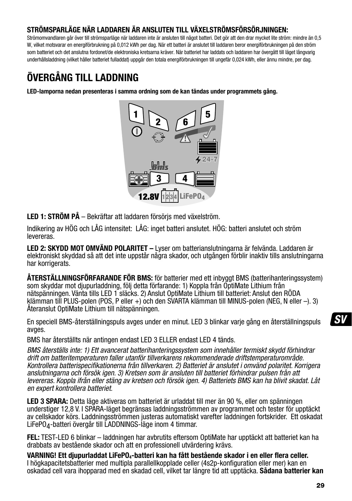### **STRÖMSPARLÄGE NÄR LADDAREN ÄR ANSLUTEN TILL VÄXELSTRÖMSFÖRSÖRJNINGEN:**

Strömomvandlaren går över till strömsparläge när laddaren inte är ansluten till något batteri. Det gör att den drar mycket lite ström: mindre än 0,5 W, vilket motsvarar en energiförbrukning på 0,012 kWh per dag. När ett batteri är anslutet till laddaren beror energiförbrukningen på den ström som batteriet och det anslutna fordonet/de elektroniska kretsarna kräver. När batteriet har laddats och laddaren har övergått till läget långvarig underhållsladdning (vilket håller batteriet fulladdat) uppgår den totala energiförbrukningen till ungefär 0,024 kWh, eller ännu mindre, per dag.

# **ÖVERGÅNG TILL LADDNING**

**LED-lamporna nedan presenteras i samma ordning som de kan tändas under programmets gång.** 



**LED 1: STRÖM PÅ** – Bekräftar att laddaren försörjs med växelström.

Indikering av HÖG och LÅG intensitet: LÅG: inget batteri anslutet. HÖG: batteri anslutet och ström levereras.

**LED 2: SKYDD MOT OMVÄND POLARITET –** Lyser om batterianslutningarna är felvända. Laddaren är elektroniskt skyddad så att det inte uppstår några skador, och utgången förblir inaktiv tills anslutningarna har korrigerats.

**ÅTERSTÄLLNINGSFÖRFARANDE FÖR BMS:** för batterier med ett inbyggt BMS (batterihanteringssystem) som skyddar mot djupurladdning, följ detta förfarande: 1) Koppla från OptiMate Lithium från nätspänningen. Vänta tills LED 1 släcks. 2) Anslut OptiMate Lithium till batteriet: Anslut den RÖDA klämman till PLUS-polen (POS, P eller +) och den SVARTA klämman till MINUS-polen (NEG, N eller –). 3) Återanslut OptiMate Lithium till nätspänningen.

En speciell BMS-återställningspuls avges under en minut. LED 3 blinkar varje gång en återställningspuls avges.

BMS har återställts när antingen endast LED 3 ELLER endast LED 4 tänds.

BMS återställs inte: 1) Ett avancerat batterihanteringssystem som innehåller termiskt skydd förhindrar drift om batteritemperaturen faller utanför tillverkarens rekommenderade driftstemperaturområde. Kontrollera batterispecifikationerna från tillverkaren. 2) Batteriet är anslutet i omvänd polaritet. Korrigera anslutningarna och försök igen. 3) Kretsen som är ansluten till batteriet förhindrar pulsen från att levereras. Koppla ifrån eller stäng av kretsen och försök igen. 4) Batteriets BMS kan ha blivit skadat. Låt en expert kontrollera batteriet.

**LED 3 SPARA:** Detta läge aktiveras om batteriet är urladdat till mer än 90 %, eller om spänningen understiger 12,8 V. I SPARA-läget begränsas laddningsströmmen av programmet och tester för upptäckt av cellskador körs. Laddningsströmmen justeras automatiskt varefter laddningen fortskrider. Ett oskadat LiFePO4-batteri övergår till LADDNINGS-läge inom 4 timmar.

**FEL:** TEST-LED 6 blinkar – laddningen har avbrutits eftersom OptiMate har upptäckt att batteriet kan ha drabbats av bestående skador och att en professionell utvärdering krävs.

**VARNING! Ett diupurladdat LiFePO<sub>4</sub>-batteri kan ha fått bestående skador i en eller flera celler.** I högkapacitetsbatterier med multipla parallellkopplade celler (4s2p-konfiguration eller mer) kan en oskadad cell vara ihopparad med en skadad cell, vilket tar längre tid att upptäcka. **Sådana batterier kan**  **SV**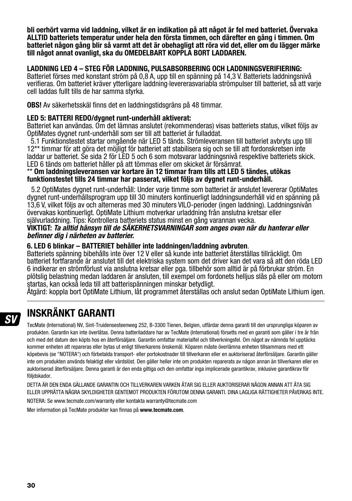**bli oerhört varma vid laddning, vilket är en indikation på att något är fel med batteriet. Övervaka ALLTID batteriets temperatur under hela den första timmen, och därefter en gång i timmen. Om batteriet någon gång blir så varmt att det är obehagligt att röra vid det, eller om du lägger märke till något annat ovanligt, ska du OMEDELBART KOPPLA BORT LADDAREN.** 

### **LADDNING LED 4 – STEG FÖR LADDNING, PULSABSORBERING OCH LADDNINGSVERIFIERING:**

Batteriet förses med konstant ström på 0,8 A, upp till en spänning på 14,3 V. Batteriets laddningsnivå verifieras. Om batteriet kräver ytterligare laddning-levererasvariabla strömpulser till batteriet, så att varie cell laddas fullt tills de har samma styrka.

**OBS!** Av säkerhetsskäl finns det en laddningstidsgräns på 48 timmar.

### **LED 5: BATTERI REDO/dygnet runt-underhåll aktiverat:**

Batteriet kan användas. Om det lämnas anslutet (rekommenderas) visas batteriets status, vilket följs av OptiMates dygnet runt-underhåll som ser till att batteriet är fulladdat.

 5.1 Funktionstestet startar omgående när LED 5 tänds. Strömleveransen till batteriet avbryts upp till 12\*\* timmar för att göra det möjligt för batteriet att stabilisera sig och se till att fordonskretsen inte laddar ur batteriet. Se sida 2 för LED 5 och 6 som motsvarar laddningsnivå respektive batteriets skick. LED 6 tänds om batteriet håller på att tömmas eller om skicket är försämrat.

#### \*\* **Om laddningsleveransen var kortare än 12 timmar fram tills att LED 5 tändes, utökas funktionstestet tills 24 timmar har passerat, vilket följs av dygnet runt-underhåll.**

5.2 OptiMates dygnet runt-underhåll: Under varje timme som batteriet är anslutet levererar OptiMates dygnet runt-underhållsprogram upp till 30 minuters kontinuerligt laddningsunderhåll vid en spänning på 13,6 V, vilket följs av och alterneras med 30 minuters VILO-perioder (ingen laddning). Laddningsnivån övervakas kontinuerligt. OptiMate Lithium motverkar urladdning från anslutna kretsar eller självurladdning. Tips: Kontrollera batteriets status minst en gång varannan vecka.

### **VIKTIGT:** Ta alltid hänsyn till de SÄKERHETSVARNINGAR som anges ovan när du hanterar eller befinner dig i närheten av batterier.

### **6. LED 6 blinkar – BATTERIET behåller inte laddningen/laddning avbruten**.

Batteriets spänning bibehålls inte över 12 V eller så kunde inte batteriet återställas tillräckligt. Om batteriet fortfarande är anslutet till det elektriska system som det driver kan det vara så att den röda LED 6 indikerar en strömförlust via anslutna kretsar eller pga. tillbehör som alltid är på förbrukar ström. En plötslig belastning medan laddaren är ansluten, till exempel om fordonets helljus slås på eller om motorn startas, kan också leda till att batterispänningen minskar betydligt.

Åtgärd: koppla bort OptiMate Lithium, låt programmet återställas och anslut sedan OptiMate Lithium igen.

# **INSKRÄNKT GARANTI**

TecMate (International) NV, Sint-Truidensesteenweg 252, B-3300 Tienen, Belgien, utfärdar denna garanti till den ursprungliga köparen av produkten. Garantin kan inte överlåtas. Denna batteriladdare har av TecMate (International) försetts med en garanti som gäller i tre år från och med det datum den köpts hos en återförsäljare. Garantin omfattar materialfel och tillverkningsfel. Om något av nämnda fel upptäcks kommer enheten att repareras eller bytas ut enligt tillverkarens önskemål. Köparen måste överlämna enheten tillsammans med ett köpebevis (se "NOTERA") och förbetalda transport- eller portokostnader till tillverkaren eller en auktoriserad återförsäljare. Garantin gäller inte om produkten används felaktigt eller vårdslöst. Den gäller heller inte om produkten reparerats av någon annan än tillverkaren eller en auktoriserad återförsäljare. Denna garanti är den enda giltiga och den omfattar inga implicerade garantikrav, inklusive garantikrav för följdskador.

DETTA ÄR DEN ENDA GÄLLANDE GARANTIN OCH TILLVERKAREN VARKEN ÅTAR SIG ELLER AUKTORISERAR NÅGON ANNAN ATT ÅTA SIG ELLER UPPRÄTTA NÅGRA SKYLDIGHETER GENTEMOT PRODUKTEN FÖRUTOM DENNA GARANTI. DINA LAGLIGA RÄTTIGHETER PÅVERKAS INTE. NOTERA: Se www.tecmate.com/warranty eller kontakta warranty@tecmate.com

Mer information på TecMate produkter kan finnas på **www.tecmate.com**.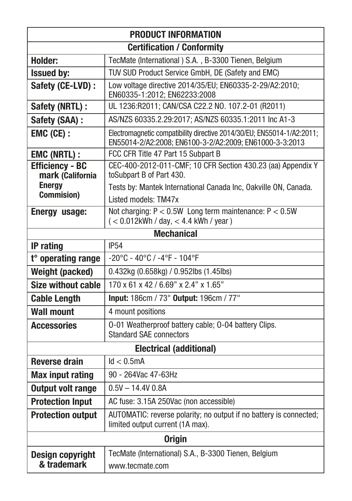| <b>PRODUCT INFORMATION</b>                 |                                                                                                                                   |  |
|--------------------------------------------|-----------------------------------------------------------------------------------------------------------------------------------|--|
| <b>Certification / Conformity</b>          |                                                                                                                                   |  |
| <b>Holder:</b>                             | TecMate (International) S.A., B-3300 Tienen, Belgium                                                                              |  |
| <b>Issued by:</b>                          | TUV SUD Product Service GmbH, DE (Safety and EMC)                                                                                 |  |
| Safety (CE-LVD):                           | Low voltage directive 2014/35/EU; EN60335-2-29/A2:2010;<br>EN60335-1:2012; EN62233:2008                                           |  |
| Safety (NRTL) :                            | UL 1236:R2011; CAN/CSA C22.2 NO. 107.2-01 (R2011)                                                                                 |  |
| Safety (SAA) :                             | AS/NZS 60335.2.29:2017; AS/NZS 60335.1:2011 Inc A1-3                                                                              |  |
| EMC (CE) :                                 | Electromagnetic compatibility directive 2014/30/EU; EN55014-1/A2:2011;<br>EN55014-2/A2:2008; EN6100-3-2/A2:2009; EN61000-3-3:2013 |  |
| <b>EMC (NRTL):</b>                         | FCC CFR Title 47 Part 15 Subpart B                                                                                                |  |
| <b>Efficiency - BC</b><br>mark (California | CEC-400-2012-011-CMF; 10 CFR Section 430.23 (aa) Appendix Y<br>toSubpart B of Part 430.                                           |  |
| <b>Energy</b><br><b>Commision</b> )        | Tests by: Mantek International Canada Inc, Oakville ON, Canada.                                                                   |  |
|                                            | Listed models: TM47x                                                                                                              |  |
| Energy usage:                              | Not charging: $P < 0.5W$ Long term maintenance: $P < 0.5W$<br>$(< 0.012$ kWh / day, $< 4.4$ kWh / year)                           |  |
| <b>Mechanical</b>                          |                                                                                                                                   |  |
| <b>IP</b> rating                           | <b>IP54</b>                                                                                                                       |  |
| t° operating range                         | $-20^{\circ}$ C - 40 $^{\circ}$ C / -4 $^{\circ}$ F - 104 $^{\circ}$ F                                                            |  |
| <b>Weight (packed)</b>                     | 0.432kg (0.658kg) / 0.952lbs (1.45lbs)                                                                                            |  |
| Size without cable                         | 170 x 61 x 42 / 6.69" x 2.4" x 1.65"                                                                                              |  |
| <b>Cable Length</b>                        | Input: 186cm / 73" Output: 196cm / 77"                                                                                            |  |
| <b>Wall mount</b>                          | 4 mount positions                                                                                                                 |  |
| <b>Accessories</b>                         | 0-01 Weatherproof battery cable; 0-04 battery Clips.<br><b>Standard SAE connectors</b>                                            |  |
| <b>Electrical (additional)</b>             |                                                                                                                                   |  |
| <b>Reverse drain</b>                       | Id < 0.5mA                                                                                                                        |  |
| <b>Max input rating</b>                    | 90 - 264Vac 47-63Hz                                                                                                               |  |
| <b>Output volt range</b>                   | $0.5V - 14.4V 0.8A$                                                                                                               |  |
| <b>Protection Input</b>                    | AC fuse: 3.15A 250Vac (non accessible)                                                                                            |  |
| <b>Protection output</b>                   | AUTOMATIC: reverse polarity; no output if no battery is connected;<br>limited output current (1A max).                            |  |
| <b>Origin</b>                              |                                                                                                                                   |  |
| <b>Design copyright</b><br>& trademark     | TecMate (International) S.A., B-3300 Tienen, Belgium<br>www.tecmate.com                                                           |  |